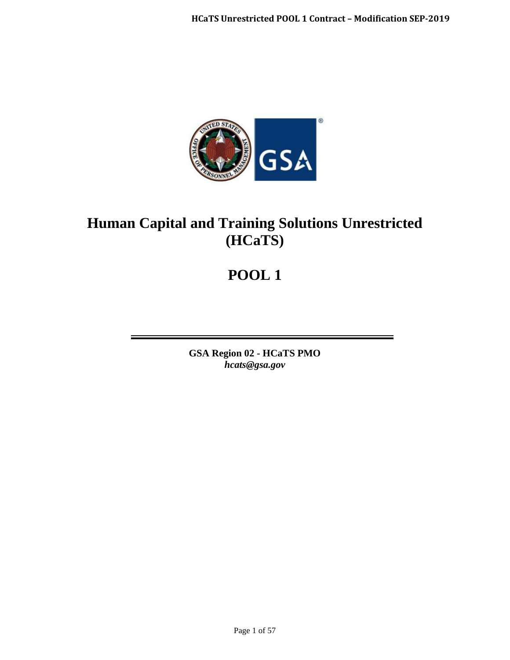

# **Human Capital and Training Solutions Unrestricted (HCaTS)**

# **POOL 1**

**GSA Region 02 - HCaTS PMO** *hcats@gsa.gov*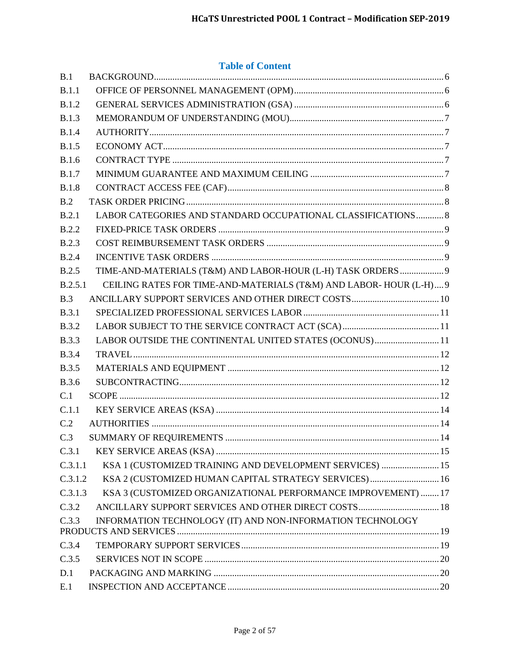# **Table of Content**

| B.1          |                                                                   |  |
|--------------|-------------------------------------------------------------------|--|
| B.1.1        |                                                                   |  |
| <b>B.1.2</b> |                                                                   |  |
| B.1.3        |                                                                   |  |
| <b>B.1.4</b> |                                                                   |  |
| <b>B.1.5</b> |                                                                   |  |
| <b>B.1.6</b> |                                                                   |  |
| <b>B.1.7</b> |                                                                   |  |
| <b>B.1.8</b> |                                                                   |  |
| B.2          |                                                                   |  |
| B.2.1        | LABOR CATEGORIES AND STANDARD OCCUPATIONAL CLASSIFICATIONS  8     |  |
| B.2.2        |                                                                   |  |
| <b>B.2.3</b> |                                                                   |  |
| <b>B.2.4</b> |                                                                   |  |
| B.2.5        | TIME-AND-MATERIALS (T&M) AND LABOR-HOUR (L-H) TASK ORDERS  9      |  |
| B.2.5.1      | CEILING RATES FOR TIME-AND-MATERIALS (T&M) AND LABOR-HOUR (L-H) 9 |  |
| B.3          |                                                                   |  |
| <b>B.3.1</b> |                                                                   |  |
| <b>B.3.2</b> |                                                                   |  |
| <b>B.3.3</b> | LABOR OUTSIDE THE CONTINENTAL UNITED STATES (OCONUS)11            |  |
| <b>B.3.4</b> |                                                                   |  |
| <b>B.3.5</b> |                                                                   |  |
| <b>B.3.6</b> |                                                                   |  |
| C.1          |                                                                   |  |
| C.1.1        |                                                                   |  |
| C.2          |                                                                   |  |
| C.3          |                                                                   |  |
| C.3.1        |                                                                   |  |
| C.3.1.1      | KSA 1 (CUSTOMIZED TRAINING AND DEVELOPMENT SERVICES)  15          |  |
| C.3.1.2      | KSA 2 (CUSTOMIZED HUMAN CAPITAL STRATEGY SERVICES) 16             |  |
| C.3.1.3      | KSA 3 (CUSTOMIZED ORGANIZATIONAL PERFORMANCE IMPROVEMENT)  17     |  |
| C.3.2        | ANCILLARY SUPPORT SERVICES AND OTHER DIRECT COSTS 18              |  |
| C.3.3        | INFORMATION TECHNOLOGY (IT) AND NON-INFORMATION TECHNOLOGY        |  |
| C.3.4        |                                                                   |  |
| C.3.5        |                                                                   |  |
| D.1          |                                                                   |  |
| E.1          |                                                                   |  |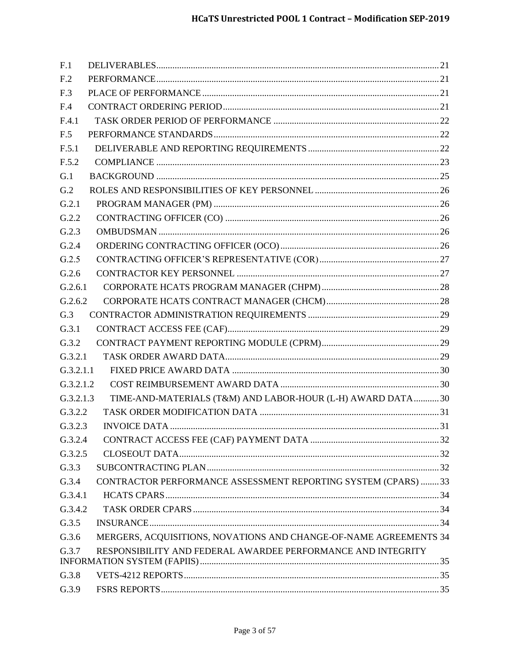| F.1             |                                                                   |  |
|-----------------|-------------------------------------------------------------------|--|
| F <sub>.2</sub> |                                                                   |  |
| F.3             |                                                                   |  |
| F.4             |                                                                   |  |
| F.4.1           |                                                                   |  |
| F.5             |                                                                   |  |
| F.5.1           |                                                                   |  |
| F.5.2           |                                                                   |  |
| G.1             |                                                                   |  |
| G.2             |                                                                   |  |
| G.2.1           |                                                                   |  |
| G.2.2           |                                                                   |  |
| G.2.3           |                                                                   |  |
| G.2.4           |                                                                   |  |
| G.2.5           |                                                                   |  |
| G.2.6           |                                                                   |  |
| G.2.6.1         |                                                                   |  |
| G.2.6.2         |                                                                   |  |
| G.3             |                                                                   |  |
| G.3.1           |                                                                   |  |
| G.3.2           |                                                                   |  |
| G.3.2.1         |                                                                   |  |
| G.3.2.1.1       |                                                                   |  |
| G.3.2.1.2       |                                                                   |  |
| G.3.2.1.3       | TIME-AND-MATERIALS (T&M) AND LABOR-HOUR (L-H) AWARD DATA 30       |  |
| G.3.2.2         |                                                                   |  |
| G.3.2.3         |                                                                   |  |
| G.3.2.4         |                                                                   |  |
| G.3.2.5         |                                                                   |  |
| G.3.3           |                                                                   |  |
| G.3.4           | CONTRACTOR PERFORMANCE ASSESSMENT REPORTING SYSTEM (CPARS)  33    |  |
| G.3.4.1         |                                                                   |  |
| G.3.4.2         |                                                                   |  |
| G.3.5           |                                                                   |  |
| G.3.6           | MERGERS, ACQUISITIONS, NOVATIONS AND CHANGE-OF-NAME AGREEMENTS 34 |  |
| G.3.7           | RESPONSIBILITY AND FEDERAL AWARDEE PERFORMANCE AND INTEGRITY      |  |
|                 |                                                                   |  |
| G.3.8           |                                                                   |  |
| G.3.9           |                                                                   |  |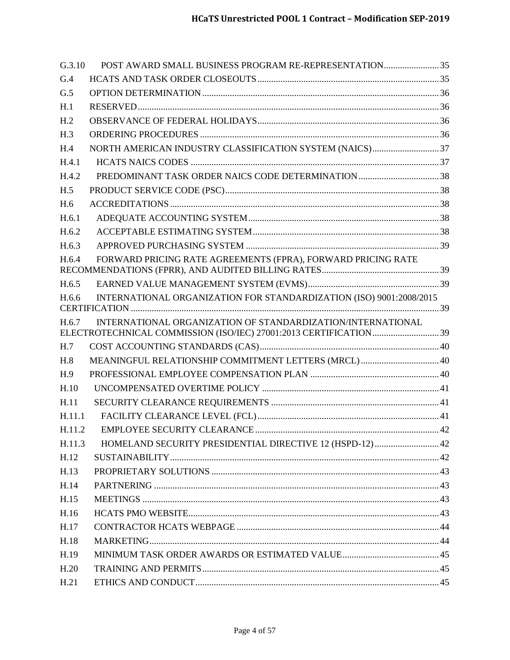| G.3.10          | POST AWARD SMALL BUSINESS PROGRAM RE-REPRESENTATION 35              |  |
|-----------------|---------------------------------------------------------------------|--|
| G.4             |                                                                     |  |
| G.5             |                                                                     |  |
| H.1             |                                                                     |  |
| H <sub>.2</sub> |                                                                     |  |
| H.3             |                                                                     |  |
| H.4             |                                                                     |  |
| H.4.1           |                                                                     |  |
| H.4.2           |                                                                     |  |
| H.5             |                                                                     |  |
| H.6             |                                                                     |  |
| H.6.1           |                                                                     |  |
| H.6.2           |                                                                     |  |
| H.6.3           |                                                                     |  |
| H.6.4           | FORWARD PRICING RATE AGREEMENTS (FPRA), FORWARD PRICING RATE        |  |
|                 |                                                                     |  |
| H.6.5           |                                                                     |  |
| H.6.6           | INTERNATIONAL ORGANIZATION FOR STANDARDIZATION (ISO) 9001:2008/2015 |  |
| H.6.7           | INTERNATIONAL ORGANIZATION OF STANDARDIZATION/INTERNATIONAL         |  |
|                 |                                                                     |  |
| H.7             |                                                                     |  |
| H.8             | MEANINGFUL RELATIONSHIP COMMITMENT LETTERS (MRCL)  40               |  |
| H.9             |                                                                     |  |
| H.10            |                                                                     |  |
| H.11            |                                                                     |  |
| H.11.1          |                                                                     |  |
| H.11.2          |                                                                     |  |
| H.11.3          | HOMELAND SECURITY PRESIDENTIAL DIRECTIVE 12 (HSPD-12)  42           |  |
| H.12            |                                                                     |  |
| H.13            |                                                                     |  |
| H.14            |                                                                     |  |
| H.15            |                                                                     |  |
| H.16            |                                                                     |  |
| H.17            |                                                                     |  |
| H.18            |                                                                     |  |
| H.19            |                                                                     |  |
|                 |                                                                     |  |
| H.20            |                                                                     |  |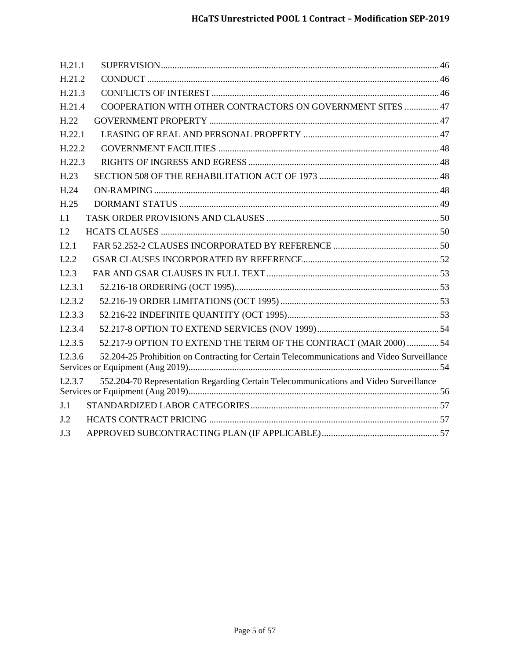| H.21.1                                                                                                |  |
|-------------------------------------------------------------------------------------------------------|--|
| H.21.2                                                                                                |  |
| H.21.3                                                                                                |  |
| COOPERATION WITH OTHER CONTRACTORS ON GOVERNMENT SITES  47<br>H.21.4                                  |  |
| H.22                                                                                                  |  |
| H.22.1                                                                                                |  |
| H.22.2                                                                                                |  |
| H.22.3                                                                                                |  |
| H.23                                                                                                  |  |
| H.24                                                                                                  |  |
| H.25                                                                                                  |  |
| I.1                                                                                                   |  |
| I.2                                                                                                   |  |
| I.2.1                                                                                                 |  |
| I.2.2                                                                                                 |  |
| 1.2.3                                                                                                 |  |
| I.2.3.1                                                                                               |  |
| I.2.3.2                                                                                               |  |
| I.2.3.3                                                                                               |  |
| I.2.3.4                                                                                               |  |
| 52.217-9 OPTION TO EXTEND THE TERM OF THE CONTRACT (MAR 2000)  54<br>I.2.3.5                          |  |
| 52.204-25 Prohibition on Contracting for Certain Telecommunications and Video Surveillance<br>1.2.3.6 |  |
| 552.204-70 Representation Regarding Certain Telecommunications and Video Surveillance<br>I.2.3.7      |  |
| J.1                                                                                                   |  |
|                                                                                                       |  |
| J.2                                                                                                   |  |
| J.3                                                                                                   |  |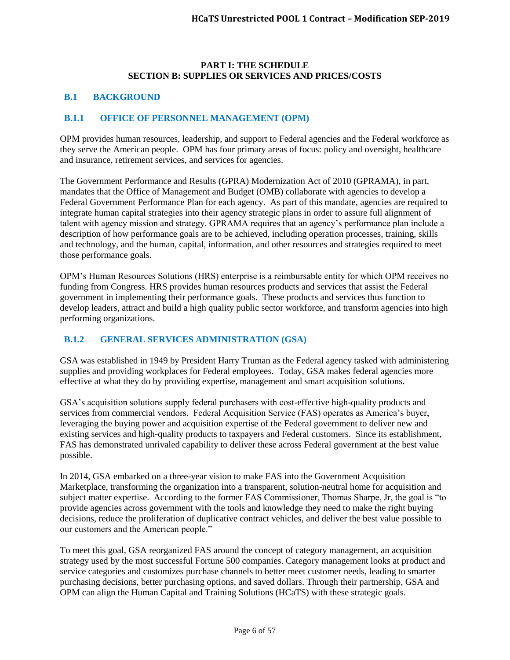#### **PART I: THE SCHEDULE SECTION B: SUPPLIES OR SERVICES AND PRICES/COSTS**

#### <span id="page-5-0"></span>**B.1 BACKGROUND**

#### <span id="page-5-1"></span>**B.1.1 OFFICE OF PERSONNEL MANAGEMENT (OPM)**

OPM provides human resources, leadership, and support to Federal agencies and the Federal workforce as they serve the American people. OPM has four primary areas of focus: policy and oversight, healthcare and insurance, retirement services, and services for agencies.

The Government Performance and Results (GPRA) Modernization Act of 2010 (GPRAMA), in part, mandates that the Office of Management and Budget (OMB) collaborate with agencies to develop a Federal Government Performance Plan for each agency. As part of this mandate, agencies are required to integrate human capital strategies into their agency strategic plans in order to assure full alignment of talent with agency mission and strategy. GPRAMA requires that an agency's performance plan include a description of how performance goals are to be achieved, including operation processes, training, skills and technology, and the human, capital, information, and other resources and strategies required to meet those performance goals.

OPM's Human Resources Solutions (HRS) enterprise is a reimbursable entity for which OPM receives no funding from Congress. HRS provides human resources products and services that assist the Federal government in implementing their performance goals. These products and services thus function to develop leaders, attract and build a high quality public sector workforce, and transform agencies into high performing organizations.

# <span id="page-5-2"></span>**B.1.2 GENERAL SERVICES ADMINISTRATION (GSA)**

GSA was established in 1949 by President Harry Truman as the Federal agency tasked with administering supplies and providing workplaces for Federal employees. Today, GSA makes federal agencies more effective at what they do by providing expertise, management and smart acquisition solutions.

GSA's acquisition solutions supply federal purchasers with cost-effective high-quality products and services from commercial vendors. Federal Acquisition Service (FAS) operates as America's buyer, leveraging the buying power and acquisition expertise of the Federal government to deliver new and existing services and high-quality products to taxpayers and Federal customers. Since its establishment, FAS has demonstrated unrivaled capability to deliver these across Federal government at the best value possible.

In 2014, GSA embarked on a three-year vision to make FAS into the Government Acquisition Marketplace, transforming the organization into a transparent, solution-neutral home for acquisition and subject matter expertise. According to the former FAS Commissioner, Thomas Sharpe, Jr, the goal is "to provide agencies across government with the tools and knowledge they need to make the right buying decisions, reduce the proliferation of duplicative contract vehicles, and deliver the best value possible to our customers and the American people."

To meet this goal, GSA reorganized FAS around the concept of category management, an acquisition strategy used by the most successful Fortune 500 companies. Category management looks at product and service categories and customizes purchase channels to better meet customer needs, leading to smarter purchasing decisions, better purchasing options, and saved dollars. Through their partnership, GSA and OPM can align the Human Capital and Training Solutions (HCaTS) with these strategic goals.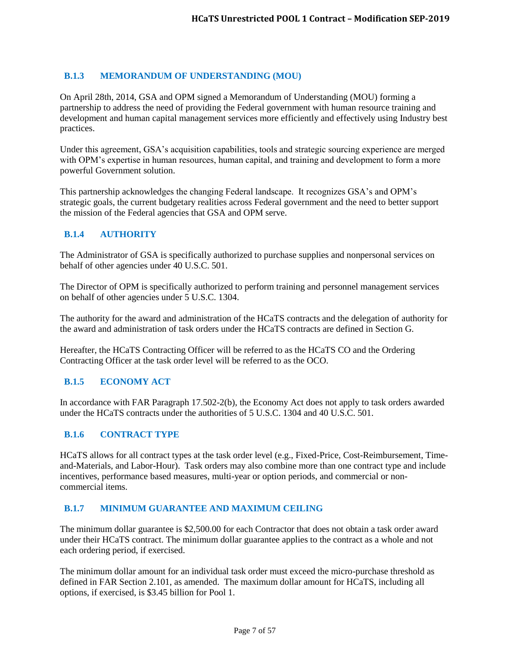# <span id="page-6-0"></span>**B.1.3 MEMORANDUM OF UNDERSTANDING (MOU)**

On April 28th, 2014, GSA and OPM signed a Memorandum of Understanding (MOU) forming a partnership to address the need of providing the Federal government with human resource training and development and human capital management services more efficiently and effectively using Industry best practices.

Under this agreement, GSA's acquisition capabilities, tools and strategic sourcing experience are merged with OPM's expertise in human resources, human capital, and training and development to form a more powerful Government solution.

This partnership acknowledges the changing Federal landscape. It recognizes GSA's and OPM's strategic goals, the current budgetary realities across Federal government and the need to better support the mission of the Federal agencies that GSA and OPM serve.

## <span id="page-6-1"></span>**B.1.4 AUTHORITY**

The Administrator of GSA is specifically authorized to purchase supplies and nonpersonal services on behalf of other agencies under 40 U.S.C. 501.

The Director of OPM is specifically authorized to perform training and personnel management services on behalf of other agencies under 5 U.S.C. 1304.

The authority for the award and administration of the HCaTS contracts and the delegation of authority for the award and administration of task orders under the HCaTS contracts are defined in Section G.

Hereafter, the HCaTS Contracting Officer will be referred to as the HCaTS CO and the Ordering Contracting Officer at the task order level will be referred to as the OCO.

#### <span id="page-6-2"></span>**B.1.5 ECONOMY ACT**

In accordance with FAR Paragraph 17.502-2(b), the Economy Act does not apply to task orders awarded under the HCaTS contracts under the authorities of 5 U.S.C. 1304 and 40 U.S.C. 501.

#### <span id="page-6-3"></span>**B.1.6 CONTRACT TYPE**

HCaTS allows for all contract types at the task order level (e.g., Fixed-Price, Cost-Reimbursement, Timeand-Materials, and Labor-Hour). Task orders may also combine more than one contract type and include incentives, performance based measures, multi-year or option periods, and commercial or noncommercial items.

#### <span id="page-6-4"></span>**B.1.7 MINIMUM GUARANTEE AND MAXIMUM CEILING**

The minimum dollar guarantee is \$2,500.00 for each Contractor that does not obtain a task order award under their HCaTS contract. The minimum dollar guarantee applies to the contract as a whole and not each ordering period, if exercised.

The minimum dollar amount for an individual task order must exceed the micro-purchase threshold as defined in FAR Section 2.101, as amended. The maximum dollar amount for HCaTS, including all options, if exercised, is \$3.45 billion for Pool 1.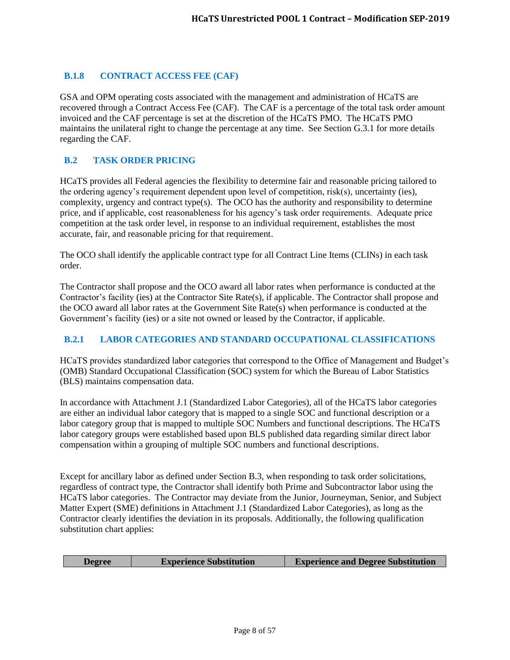# <span id="page-7-0"></span>**B.1.8 CONTRACT ACCESS FEE (CAF)**

GSA and OPM operating costs associated with the management and administration of HCaTS are recovered through a Contract Access Fee (CAF). The CAF is a percentage of the total task order amount invoiced and the CAF percentage is set at the discretion of the HCaTS PMO. The HCaTS PMO maintains the unilateral right to change the percentage at any time. See Section G.3.1 for more details regarding the CAF.

# <span id="page-7-1"></span>**B.2 TASK ORDER PRICING**

HCaTS provides all Federal agencies the flexibility to determine fair and reasonable pricing tailored to the ordering agency's requirement dependent upon level of competition, risk(s), uncertainty (ies), complexity, urgency and contract type(s). The OCO has the authority and responsibility to determine price, and if applicable, cost reasonableness for his agency's task order requirements. Adequate price competition at the task order level, in response to an individual requirement, establishes the most accurate, fair, and reasonable pricing for that requirement.

The OCO shall identify the applicable contract type for all Contract Line Items (CLINs) in each task order.

The Contractor shall propose and the OCO award all labor rates when performance is conducted at the Contractor's facility (ies) at the Contractor Site Rate(s), if applicable. The Contractor shall propose and the OCO award all labor rates at the Government Site Rate(s) when performance is conducted at the Government's facility (ies) or a site not owned or leased by the Contractor, if applicable.

# <span id="page-7-2"></span>**B.2.1 LABOR CATEGORIES AND STANDARD OCCUPATIONAL CLASSIFICATIONS**

HCaTS provides standardized labor categories that correspond to the Office of Management and Budget's (OMB) Standard Occupational Classification (SOC) system for which the Bureau of Labor Statistics (BLS) maintains compensation data.

In accordance with Attachment J.1 (Standardized Labor Categories), all of the HCaTS labor categories are either an individual labor category that is mapped to a single SOC and functional description or a labor category group that is mapped to multiple SOC Numbers and functional descriptions. The HCaTS labor category groups were established based upon BLS published data regarding similar direct labor compensation within a grouping of multiple SOC numbers and functional descriptions.

Except for ancillary labor as defined under Section B.3, when responding to task order solicitations, regardless of contract type, the Contractor shall identify both Prime and Subcontractor labor using the HCaTS labor categories. The Contractor may deviate from the Junior, Journeyman, Senior, and Subject Matter Expert (SME) definitions in Attachment J.1 (Standardized Labor Categories), as long as the Contractor clearly identifies the deviation in its proposals. Additionally, the following qualification substitution chart applies:

| <b>Experience Substitution</b><br><b>Degree</b> | <b>Experience and Degree Substitution</b> |
|-------------------------------------------------|-------------------------------------------|
|-------------------------------------------------|-------------------------------------------|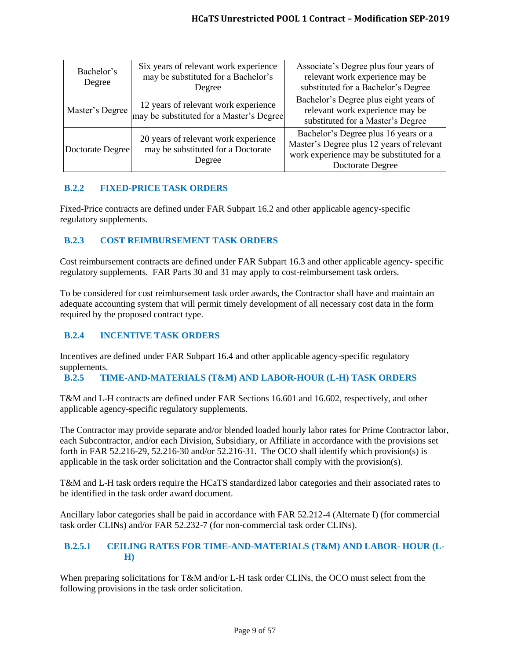| Bachelor's<br>Degree                                                                                     | Six years of relevant work experience<br>may be substituted for a Bachelor's<br>Degree | Associate's Degree plus four years of<br>relevant work experience may be<br>substituted for a Bachelor's Degree                                          |
|----------------------------------------------------------------------------------------------------------|----------------------------------------------------------------------------------------|----------------------------------------------------------------------------------------------------------------------------------------------------------|
| Master's Degree                                                                                          | 12 years of relevant work experience<br>may be substituted for a Master's Degree       | Bachelor's Degree plus eight years of<br>relevant work experience may be<br>substituted for a Master's Degree                                            |
| 20 years of relevant work experience<br>may be substituted for a Doctorate<br>Doctorate Degree<br>Degree |                                                                                        | Bachelor's Degree plus 16 years or a<br>Master's Degree plus 12 years of relevant<br>work experience may be substituted for a<br><b>Doctorate Degree</b> |

# <span id="page-8-0"></span>**B.2.2 FIXED-PRICE TASK ORDERS**

Fixed-Price contracts are defined under FAR Subpart 16.2 and other applicable agency-specific regulatory supplements.

# <span id="page-8-1"></span>**B.2.3 COST REIMBURSEMENT TASK ORDERS**

Cost reimbursement contracts are defined under FAR Subpart 16.3 and other applicable agency- specific regulatory supplements. FAR Parts 30 and 31 may apply to cost-reimbursement task orders.

To be considered for cost reimbursement task order awards, the Contractor shall have and maintain an adequate accounting system that will permit timely development of all necessary cost data in the form required by the proposed contract type.

# <span id="page-8-2"></span>**B.2.4 INCENTIVE TASK ORDERS**

Incentives are defined under FAR Subpart 16.4 and other applicable agency-specific regulatory supplements.

# <span id="page-8-3"></span>**B.2.5 TIME-AND-MATERIALS (T&M) AND LABOR-HOUR (L-H) TASK ORDERS**

T&M and L-H contracts are defined under FAR Sections 16.601 and 16.602, respectively, and other applicable agency-specific regulatory supplements.

The Contractor may provide separate and/or blended loaded hourly labor rates for Prime Contractor labor, each Subcontractor, and/or each Division, Subsidiary, or Affiliate in accordance with the provisions set forth in FAR 52.216-29, 52.216-30 and/or 52.216-31. The OCO shall identify which provision(s) is applicable in the task order solicitation and the Contractor shall comply with the provision(s).

T&M and L-H task orders require the HCaTS standardized labor categories and their associated rates to be identified in the task order award document.

Ancillary labor categories shall be paid in accordance with FAR 52.212-4 (Alternate I) (for commercial task order CLINs) and/or FAR 52.232-7 (for non-commercial task order CLINs).

## <span id="page-8-4"></span>**B.2.5.1 CEILING RATES FOR TIME-AND-MATERIALS (T&M) AND LABOR- HOUR (L-H)**

When preparing solicitations for T&M and/or L-H task order CLINs, the OCO must select from the following provisions in the task order solicitation.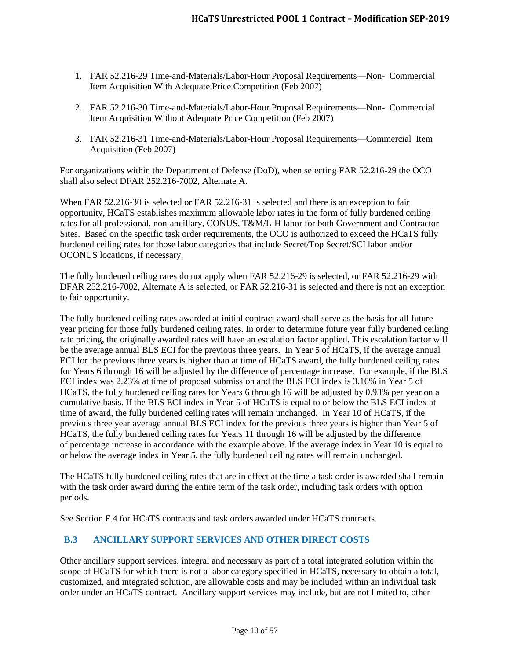- 1. FAR 52.216-29 Time-and-Materials/Labor-Hour Proposal Requirements—Non- Commercial Item Acquisition With Adequate Price Competition (Feb 2007)
- 2. FAR 52.216-30 Time-and-Materials/Labor-Hour Proposal Requirements—Non- Commercial Item Acquisition Without Adequate Price Competition (Feb 2007)
- 3. FAR 52.216-31 Time-and-Materials/Labor-Hour Proposal Requirements—Commercial Item Acquisition (Feb 2007)

For organizations within the Department of Defense (DoD), when selecting FAR 52.216-29 the OCO shall also select DFAR 252.216-7002, Alternate A.

When FAR 52.216-30 is selected or FAR 52.216-31 is selected and there is an exception to fair opportunity, HCaTS establishes maximum allowable labor rates in the form of fully burdened ceiling rates for all professional, non-ancillary, CONUS, T&M/L-H labor for both Government and Contractor Sites. Based on the specific task order requirements, the OCO is authorized to exceed the HCaTS fully burdened ceiling rates for those labor categories that include Secret/Top Secret/SCI labor and/or OCONUS locations, if necessary.

The fully burdened ceiling rates do not apply when FAR 52.216-29 is selected, or FAR 52.216-29 with DFAR 252.216-7002, Alternate A is selected, or FAR 52.216-31 is selected and there is not an exception to fair opportunity.

The fully burdened ceiling rates awarded at initial contract award shall serve as the basis for all future year pricing for those fully burdened ceiling rates. In order to determine future year fully burdened ceiling rate pricing, the originally awarded rates will have an escalation factor applied. This escalation factor will be the average annual BLS ECI for the previous three years. In Year 5 of HCaTS, if the average annual ECI for the previous three years is higher than at time of HCaTS award, the fully burdened ceiling rates for Years 6 through 16 will be adjusted by the difference of percentage increase. For example, if the BLS ECI index was 2.23% at time of proposal submission and the BLS ECI index is 3.16% in Year 5 of HCaTS, the fully burdened ceiling rates for Years 6 through 16 will be adjusted by 0.93% per year on a cumulative basis. If the BLS ECI index in Year 5 of HCaTS is equal to or below the BLS ECI index at time of award, the fully burdened ceiling rates will remain unchanged. In Year 10 of HCaTS, if the previous three year average annual BLS ECI index for the previous three years is higher than Year 5 of HCaTS, the fully burdened ceiling rates for Years 11 through 16 will be adjusted by the difference of percentage increase in accordance with the example above. If the average index in Year 10 is equal to or below the average index in Year 5, the fully burdened ceiling rates will remain unchanged.

The HCaTS fully burdened ceiling rates that are in effect at the time a task order is awarded shall remain with the task order award during the entire term of the task order, including task orders with option periods.

See Section F.4 for HCaTS contracts and task orders awarded under HCaTS contracts.

# <span id="page-9-0"></span>**B.3 ANCILLARY SUPPORT SERVICES AND OTHER DIRECT COSTS**

Other ancillary support services, integral and necessary as part of a total integrated solution within the scope of HCaTS for which there is not a labor category specified in HCaTS, necessary to obtain a total, customized, and integrated solution, are allowable costs and may be included within an individual task order under an HCaTS contract. Ancillary support services may include, but are not limited to, other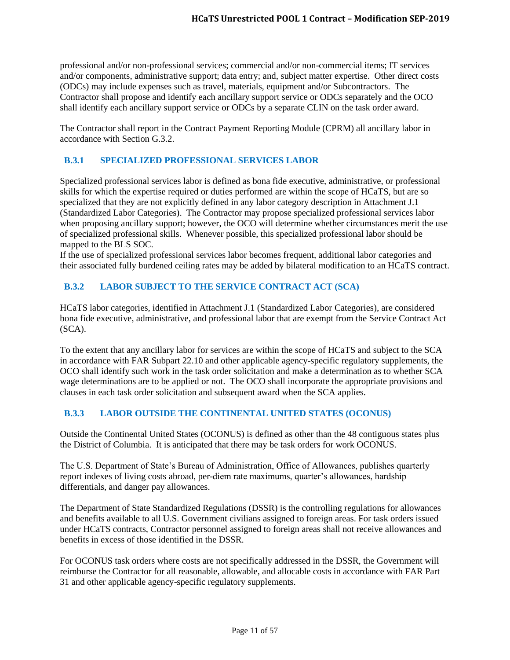professional and/or non-professional services; commercial and/or non-commercial items; IT services and/or components, administrative support; data entry; and, subject matter expertise. Other direct costs (ODCs) may include expenses such as travel, materials, equipment and/or Subcontractors. The Contractor shall propose and identify each ancillary support service or ODCs separately and the OCO shall identify each ancillary support service or ODCs by a separate CLIN on the task order award.

The Contractor shall report in the Contract Payment Reporting Module (CPRM) all ancillary labor in accordance with Section G.3.2.

# <span id="page-10-0"></span>**B.3.1 SPECIALIZED PROFESSIONAL SERVICES LABOR**

Specialized professional services labor is defined as bona fide executive, administrative, or professional skills for which the expertise required or duties performed are within the scope of HCaTS, but are so specialized that they are not explicitly defined in any labor category description in Attachment J.1 (Standardized Labor Categories). The Contractor may propose specialized professional services labor when proposing ancillary support; however, the OCO will determine whether circumstances merit the use of specialized professional skills. Whenever possible, this specialized professional labor should be mapped to the BLS SOC.

If the use of specialized professional services labor becomes frequent, additional labor categories and their associated fully burdened ceiling rates may be added by bilateral modification to an HCaTS contract.

# <span id="page-10-1"></span>**B.3.2 LABOR SUBJECT TO THE SERVICE CONTRACT ACT (SCA)**

HCaTS labor categories, identified in Attachment J.1 (Standardized Labor Categories), are considered bona fide executive, administrative, and professional labor that are exempt from the Service Contract Act (SCA).

To the extent that any ancillary labor for services are within the scope of HCaTS and subject to the SCA in accordance with FAR Subpart 22.10 and other applicable agency-specific regulatory supplements, the OCO shall identify such work in the task order solicitation and make a determination as to whether SCA wage determinations are to be applied or not. The OCO shall incorporate the appropriate provisions and clauses in each task order solicitation and subsequent award when the SCA applies.

# <span id="page-10-2"></span>**B.3.3 LABOR OUTSIDE THE CONTINENTAL UNITED STATES (OCONUS)**

Outside the Continental United States (OCONUS) is defined as other than the 48 contiguous states plus the District of Columbia. It is anticipated that there may be task orders for work OCONUS.

The U.S. Department of State's Bureau of Administration, Office of Allowances, publishes quarterly report indexes of living costs abroad, per-diem rate maximums, quarter's allowances, hardship differentials, and danger pay allowances.

The Department of State Standardized Regulations (DSSR) is the controlling regulations for allowances and benefits available to all U.S. Government civilians assigned to foreign areas. For task orders issued under HCaTS contracts, Contractor personnel assigned to foreign areas shall not receive allowances and benefits in excess of those identified in the DSSR.

For OCONUS task orders where costs are not specifically addressed in the DSSR, the Government will reimburse the Contractor for all reasonable, allowable, and allocable costs in accordance with FAR Part 31 and other applicable agency-specific regulatory supplements.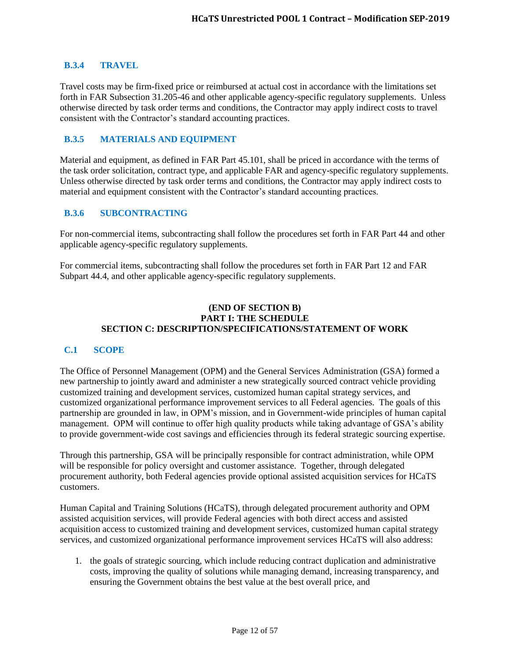#### <span id="page-11-0"></span>**B.3.4 TRAVEL**

Travel costs may be firm-fixed price or reimbursed at actual cost in accordance with the limitations set forth in FAR Subsection 31.205-46 and other applicable agency-specific regulatory supplements. Unless otherwise directed by task order terms and conditions, the Contractor may apply indirect costs to travel consistent with the Contractor's standard accounting practices.

## <span id="page-11-1"></span>**B.3.5 MATERIALS AND EQUIPMENT**

Material and equipment, as defined in FAR Part 45.101, shall be priced in accordance with the terms of the task order solicitation, contract type, and applicable FAR and agency-specific regulatory supplements. Unless otherwise directed by task order terms and conditions, the Contractor may apply indirect costs to material and equipment consistent with the Contractor's standard accounting practices.

## <span id="page-11-2"></span>**B.3.6 SUBCONTRACTING**

For non-commercial items, subcontracting shall follow the procedures set forth in FAR Part 44 and other applicable agency-specific regulatory supplements.

For commercial items, subcontracting shall follow the procedures set forth in FAR Part 12 and FAR Subpart 44.4, and other applicable agency-specific regulatory supplements.

#### **(END OF SECTION B) PART I: THE SCHEDULE SECTION C: DESCRIPTION/SPECIFICATIONS/STATEMENT OF WORK**

#### <span id="page-11-3"></span>**C.1 SCOPE**

The Office of Personnel Management (OPM) and the General Services Administration (GSA) formed a new partnership to jointly award and administer a new strategically sourced contract vehicle providing customized training and development services, customized human capital strategy services, and customized organizational performance improvement services to all Federal agencies. The goals of this partnership are grounded in law, in OPM's mission, and in Government-wide principles of human capital management. OPM will continue to offer high quality products while taking advantage of GSA's ability to provide government-wide cost savings and efficiencies through its federal strategic sourcing expertise.

Through this partnership, GSA will be principally responsible for contract administration, while OPM will be responsible for policy oversight and customer assistance. Together, through delegated procurement authority, both Federal agencies provide optional assisted acquisition services for HCaTS customers.

Human Capital and Training Solutions (HCaTS), through delegated procurement authority and OPM assisted acquisition services, will provide Federal agencies with both direct access and assisted acquisition access to customized training and development services, customized human capital strategy services, and customized organizational performance improvement services HCaTS will also address:

1. the goals of strategic sourcing, which include reducing contract duplication and administrative costs, improving the quality of solutions while managing demand, increasing transparency, and ensuring the Government obtains the best value at the best overall price, and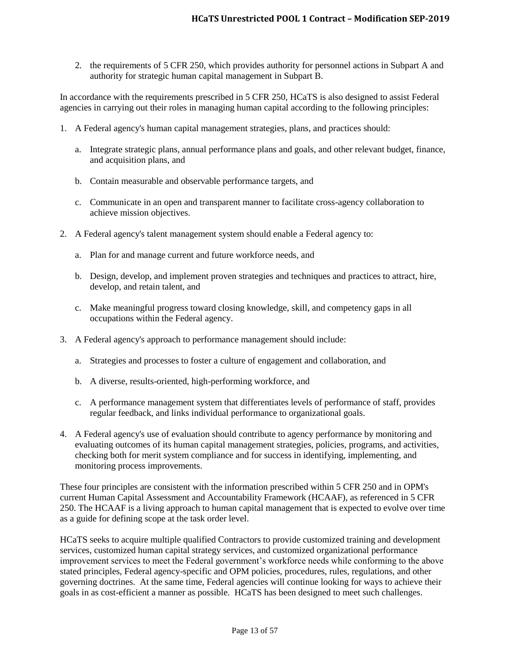2. the requirements of 5 CFR 250, which provides authority for personnel actions in Subpart A and authority for strategic human capital management in Subpart B.

In accordance with the requirements prescribed in 5 CFR 250, HCaTS is also designed to assist Federal agencies in carrying out their roles in managing human capital according to the following principles:

- 1. A Federal agency's human capital management strategies, plans, and practices should:
	- a. Integrate strategic plans, annual performance plans and goals, and other relevant budget, finance, and acquisition plans, and
	- b. Contain measurable and observable performance targets, and
	- c. Communicate in an open and transparent manner to facilitate cross-agency collaboration to achieve mission objectives.
- 2. A Federal agency's talent management system should enable a Federal agency to:
	- a. Plan for and manage current and future workforce needs, and
	- b. Design, develop, and implement proven strategies and techniques and practices to attract, hire, develop, and retain talent, and
	- c. Make meaningful progress toward closing knowledge, skill, and competency gaps in all occupations within the Federal agency.
- 3. A Federal agency's approach to performance management should include:
	- a. Strategies and processes to foster a culture of engagement and collaboration, and
	- b. A diverse, results-oriented, high-performing workforce, and
	- c. A performance management system that differentiates levels of performance of staff, provides regular feedback, and links individual performance to organizational goals.
- 4. A Federal agency's use of evaluation should contribute to agency performance by monitoring and evaluating outcomes of its human capital management strategies, policies, programs, and activities, checking both for merit system compliance and for success in identifying, implementing, and monitoring process improvements.

These four principles are consistent with the information prescribed within 5 CFR 250 and in OPM's current Human Capital Assessment and Accountability Framework (HCAAF), as referenced in 5 CFR 250. The HCAAF is a living approach to human capital management that is expected to evolve over time as a guide for defining scope at the task order level.

HCaTS seeks to acquire multiple qualified Contractors to provide customized training and development services, customized human capital strategy services, and customized organizational performance improvement services to meet the Federal government's workforce needs while conforming to the above stated principles, Federal agency-specific and OPM policies, procedures, rules, regulations, and other governing doctrines. At the same time, Federal agencies will continue looking for ways to achieve their goals in as cost-efficient a manner as possible. HCaTS has been designed to meet such challenges.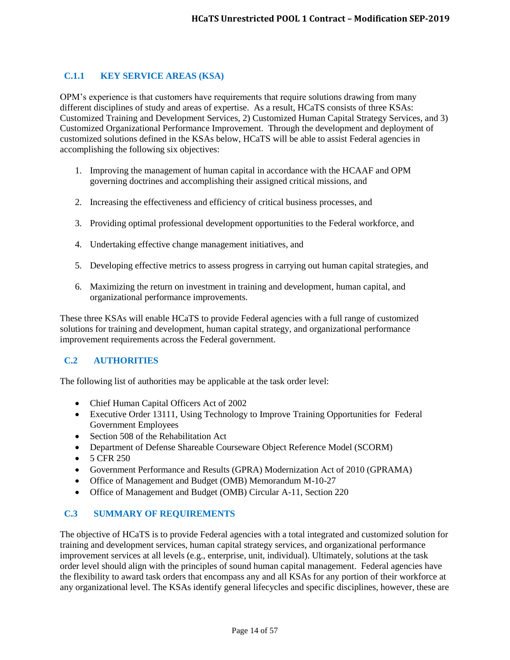# <span id="page-13-0"></span>**C.1.1 KEY SERVICE AREAS (KSA)**

OPM's experience is that customers have requirements that require solutions drawing from many different disciplines of study and areas of expertise. As a result, HCaTS consists of three KSAs: Customized Training and Development Services, 2) Customized Human Capital Strategy Services, and 3) Customized Organizational Performance Improvement. Through the development and deployment of customized solutions defined in the KSAs below, HCaTS will be able to assist Federal agencies in accomplishing the following six objectives:

- 1. Improving the management of human capital in accordance with the HCAAF and OPM governing doctrines and accomplishing their assigned critical missions, and
- 2. Increasing the effectiveness and efficiency of critical business processes, and
- 3. Providing optimal professional development opportunities to the Federal workforce, and
- 4. Undertaking effective change management initiatives, and
- 5. Developing effective metrics to assess progress in carrying out human capital strategies, and
- 6. Maximizing the return on investment in training and development, human capital, and organizational performance improvements.

These three KSAs will enable HCaTS to provide Federal agencies with a full range of customized solutions for training and development, human capital strategy, and organizational performance improvement requirements across the Federal government.

# <span id="page-13-1"></span>**C.2 AUTHORITIES**

The following list of authorities may be applicable at the task order level:

- Chief Human Capital Officers Act of 2002
- Executive Order 13111, Using Technology to Improve Training Opportunities for Federal Government Employees
- Section 508 of the Rehabilitation Act
- Department of Defense Shareable Courseware Object Reference Model (SCORM)
- $-5$  CFR 250
- Government Performance and Results (GPRA) Modernization Act of 2010 (GPRAMA)
- Office of Management and Budget (OMB) Memorandum M-10-27
- Office of Management and Budget (OMB) Circular A-11, Section 220

# <span id="page-13-2"></span>**C.3 SUMMARY OF REQUIREMENTS**

The objective of HCaTS is to provide Federal agencies with a total integrated and customized solution for training and development services, human capital strategy services, and organizational performance improvement services at all levels (e.g., enterprise, unit, individual). Ultimately, solutions at the task order level should align with the principles of sound human capital management. Federal agencies have the flexibility to award task orders that encompass any and all KSAs for any portion of their workforce at any organizational level. The KSAs identify general lifecycles and specific disciplines, however, these are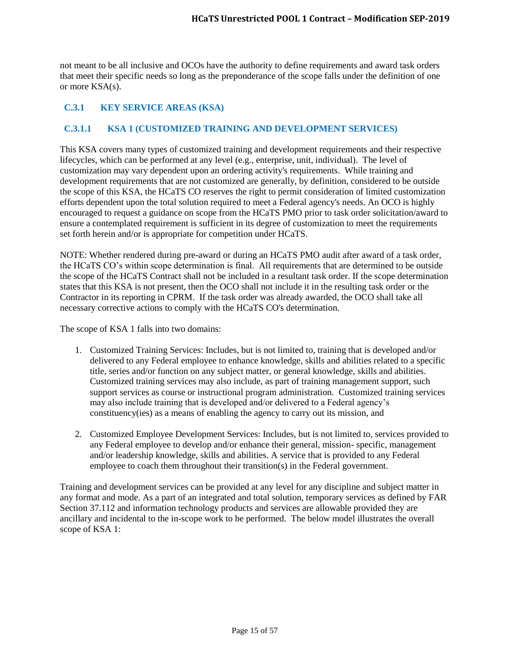not meant to be all inclusive and OCOs have the authority to define requirements and award task orders that meet their specific needs so long as the preponderance of the scope falls under the definition of one or more KSA(s).

# <span id="page-14-0"></span>**C.3.1 KEY SERVICE AREAS (KSA)**

# <span id="page-14-1"></span>**C.3.1.1 KSA 1 (CUSTOMIZED TRAINING AND DEVELOPMENT SERVICES)**

This KSA covers many types of customized training and development requirements and their respective lifecycles, which can be performed at any level (e.g., enterprise, unit, individual). The level of customization may vary dependent upon an ordering activity's requirements. While training and development requirements that are not customized are generally, by definition, considered to be outside the scope of this KSA, the HCaTS CO reserves the right to permit consideration of limited customization efforts dependent upon the total solution required to meet a Federal agency's needs. An OCO is highly encouraged to request a guidance on scope from the HCaTS PMO prior to task order solicitation/award to ensure a contemplated requirement is sufficient in its degree of customization to meet the requirements set forth herein and/or is appropriate for competition under HCaTS.

NOTE: Whether rendered during pre-award or during an HCaTS PMO audit after award of a task order, the HCaTS CO's within scope determination is final. All requirements that are determined to be outside the scope of the HCaTS Contract shall not be included in a resultant task order. If the scope determination states that this KSA is not present, then the OCO shall not include it in the resulting task order or the Contractor in its reporting in CPRM. If the task order was already awarded, the OCO shall take all necessary corrective actions to comply with the HCaTS CO's determination.

The scope of KSA 1 falls into two domains:

- 1. Customized Training Services: Includes, but is not limited to, training that is developed and/or delivered to any Federal employee to enhance knowledge, skills and abilities related to a specific title, series and/or function on any subject matter, or general knowledge, skills and abilities. Customized training services may also include, as part of training management support, such support services as course or instructional program administration. Customized training services may also include training that is developed and/or delivered to a Federal agency's constituency(ies) as a means of enabling the agency to carry out its mission, and
- 2. Customized Employee Development Services: Includes, but is not limited to, services provided to any Federal employee to develop and/or enhance their general, mission- specific, management and/or leadership knowledge, skills and abilities. A service that is provided to any Federal employee to coach them throughout their transition(s) in the Federal government.

Training and development services can be provided at any level for any discipline and subject matter in any format and mode. As a part of an integrated and total solution, temporary services as defined by FAR Section 37.112 and information technology products and services are allowable provided they are ancillary and incidental to the in-scope work to be performed. The below model illustrates the overall scope of KSA 1: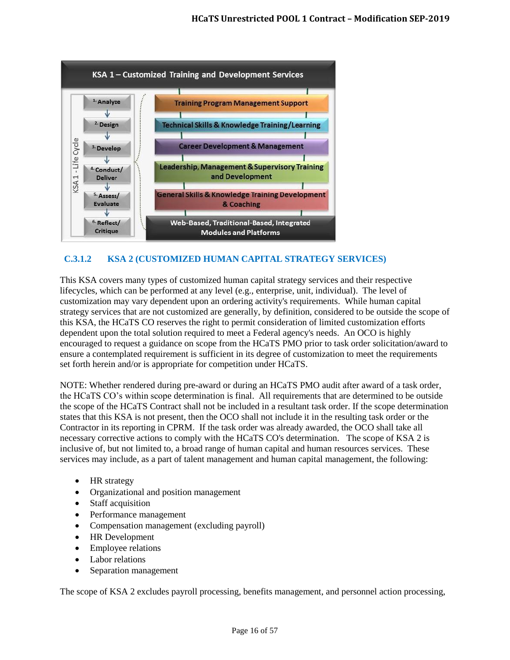

# <span id="page-15-0"></span>**C.3.1.2 KSA 2 (CUSTOMIZED HUMAN CAPITAL STRATEGY SERVICES)**

This KSA covers many types of customized human capital strategy services and their respective lifecycles, which can be performed at any level (e.g., enterprise, unit, individual). The level of customization may vary dependent upon an ordering activity's requirements. While human capital strategy services that are not customized are generally, by definition, considered to be outside the scope of this KSA, the HCaTS CO reserves the right to permit consideration of limited customization efforts dependent upon the total solution required to meet a Federal agency's needs. An OCO is highly encouraged to request a guidance on scope from the HCaTS PMO prior to task order solicitation/award to ensure a contemplated requirement is sufficient in its degree of customization to meet the requirements set forth herein and/or is appropriate for competition under HCaTS.

NOTE: Whether rendered during pre-award or during an HCaTS PMO audit after award of a task order, the HCaTS CO's within scope determination is final. All requirements that are determined to be outside the scope of the HCaTS Contract shall not be included in a resultant task order. If the scope determination states that this KSA is not present, then the OCO shall not include it in the resulting task order or the Contractor in its reporting in CPRM. If the task order was already awarded, the OCO shall take all necessary corrective actions to comply with the HCaTS CO's determination. The scope of KSA 2 is inclusive of, but not limited to, a broad range of human capital and human resources services. These services may include, as a part of talent management and human capital management, the following:

- HR strategy
- Organizational and position management
- Staff acquisition
- Performance management
- Compensation management (excluding payroll)
- HR Development
- Employee relations
- Labor relations
- Separation management

The scope of KSA 2 excludes payroll processing, benefits management, and personnel action processing,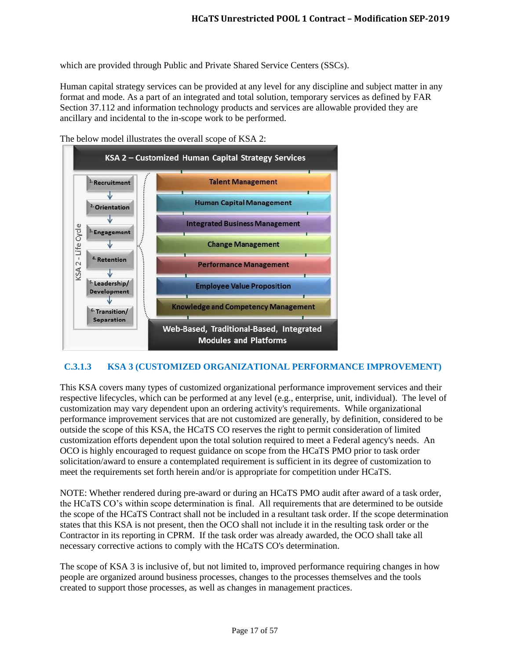which are provided through Public and Private Shared Service Centers (SSCs).

Human capital strategy services can be provided at any level for any discipline and subject matter in any format and mode. As a part of an integrated and total solution, temporary services as defined by FAR Section 37.112 and information technology products and services are allowable provided they are ancillary and incidental to the in-scope work to be performed.



The below model illustrates the overall scope of KSA 2:

# <span id="page-16-0"></span>**C.3.1.3 KSA 3 (CUSTOMIZED ORGANIZATIONAL PERFORMANCE IMPROVEMENT)**

This KSA covers many types of customized organizational performance improvement services and their respective lifecycles, which can be performed at any level (e.g., enterprise, unit, individual). The level of customization may vary dependent upon an ordering activity's requirements. While organizational performance improvement services that are not customized are generally, by definition, considered to be outside the scope of this KSA, the HCaTS CO reserves the right to permit consideration of limited customization efforts dependent upon the total solution required to meet a Federal agency's needs. An OCO is highly encouraged to request guidance on scope from the HCaTS PMO prior to task order solicitation/award to ensure a contemplated requirement is sufficient in its degree of customization to meet the requirements set forth herein and/or is appropriate for competition under HCaTS.

NOTE: Whether rendered during pre-award or during an HCaTS PMO audit after award of a task order, the HCaTS CO's within scope determination is final. All requirements that are determined to be outside the scope of the HCaTS Contract shall not be included in a resultant task order. If the scope determination states that this KSA is not present, then the OCO shall not include it in the resulting task order or the Contractor in its reporting in CPRM. If the task order was already awarded, the OCO shall take all necessary corrective actions to comply with the HCaTS CO's determination.

The scope of KSA 3 is inclusive of, but not limited to, improved performance requiring changes in how people are organized around business processes, changes to the processes themselves and the tools created to support those processes, as well as changes in management practices.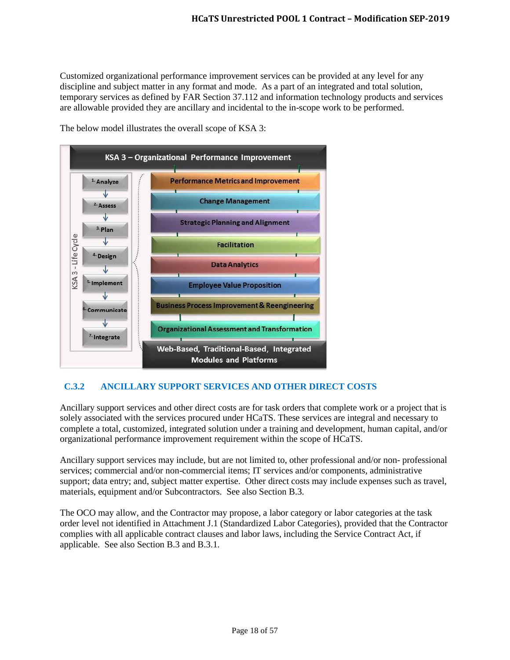Customized organizational performance improvement services can be provided at any level for any discipline and subject matter in any format and mode. As a part of an integrated and total solution, temporary services as defined by FAR Section 37.112 and information technology products and services are allowable provided they are ancillary and incidental to the in-scope work to be performed.



The below model illustrates the overall scope of KSA 3:

# <span id="page-17-0"></span>**C.3.2 ANCILLARY SUPPORT SERVICES AND OTHER DIRECT COSTS**

Ancillary support services and other direct costs are for task orders that complete work or a project that is solely associated with the services procured under HCaTS. These services are integral and necessary to complete a total, customized, integrated solution under a training and development, human capital, and/or organizational performance improvement requirement within the scope of HCaTS.

Ancillary support services may include, but are not limited to, other professional and/or non- professional services; commercial and/or non-commercial items; IT services and/or components, administrative support; data entry; and, subject matter expertise. Other direct costs may include expenses such as travel, materials, equipment and/or Subcontractors. See also Section B.3.

The OCO may allow, and the Contractor may propose, a labor category or labor categories at the task order level not identified in Attachment J.1 (Standardized Labor Categories), provided that the Contractor complies with all applicable contract clauses and labor laws, including the Service Contract Act, if applicable. See also Section B.3 and B.3.1.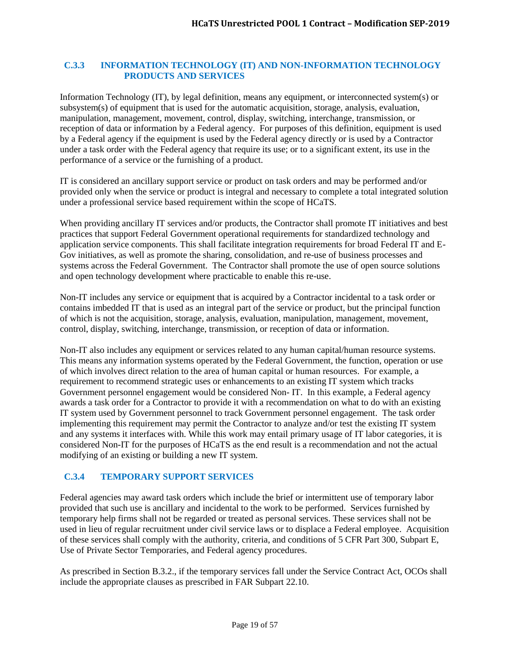## <span id="page-18-0"></span>**C.3.3 INFORMATION TECHNOLOGY (IT) AND NON-INFORMATION TECHNOLOGY PRODUCTS AND SERVICES**

Information Technology (IT), by legal definition, means any equipment, or interconnected system(s) or subsystem(s) of equipment that is used for the automatic acquisition, storage, analysis, evaluation, manipulation, management, movement, control, display, switching, interchange, transmission, or reception of data or information by a Federal agency. For purposes of this definition, equipment is used by a Federal agency if the equipment is used by the Federal agency directly or is used by a Contractor under a task order with the Federal agency that require its use; or to a significant extent, its use in the performance of a service or the furnishing of a product.

IT is considered an ancillary support service or product on task orders and may be performed and/or provided only when the service or product is integral and necessary to complete a total integrated solution under a professional service based requirement within the scope of HCaTS.

When providing ancillary IT services and/or products, the Contractor shall promote IT initiatives and best practices that support Federal Government operational requirements for standardized technology and application service components. This shall facilitate integration requirements for broad Federal IT and E-Gov initiatives, as well as promote the sharing, consolidation, and re-use of business processes and systems across the Federal Government. The Contractor shall promote the use of open source solutions and open technology development where practicable to enable this re-use.

Non-IT includes any service or equipment that is acquired by a Contractor incidental to a task order or contains imbedded IT that is used as an integral part of the service or product, but the principal function of which is not the acquisition, storage, analysis, evaluation, manipulation, management, movement, control, display, switching, interchange, transmission, or reception of data or information.

Non-IT also includes any equipment or services related to any human capital/human resource systems. This means any information systems operated by the Federal Government, the function, operation or use of which involves direct relation to the area of human capital or human resources. For example, a requirement to recommend strategic uses or enhancements to an existing IT system which tracks Government personnel engagement would be considered Non- IT. In this example, a Federal agency awards a task order for a Contractor to provide it with a recommendation on what to do with an existing IT system used by Government personnel to track Government personnel engagement. The task order implementing this requirement may permit the Contractor to analyze and/or test the existing IT system and any systems it interfaces with. While this work may entail primary usage of IT labor categories, it is considered Non-IT for the purposes of HCaTS as the end result is a recommendation and not the actual modifying of an existing or building a new IT system.

# <span id="page-18-1"></span>**C.3.4 TEMPORARY SUPPORT SERVICES**

Federal agencies may award task orders which include the brief or intermittent use of temporary labor provided that such use is ancillary and incidental to the work to be performed. Services furnished by temporary help firms shall not be regarded or treated as personal services. These services shall not be used in lieu of regular recruitment under civil service laws or to displace a Federal employee. Acquisition of these services shall comply with the authority, criteria, and conditions of 5 CFR Part 300, Subpart E, Use of Private Sector Temporaries, and Federal agency procedures.

As prescribed in Section B.3.2., if the temporary services fall under the Service Contract Act, OCOs shall include the appropriate clauses as prescribed in FAR Subpart 22.10.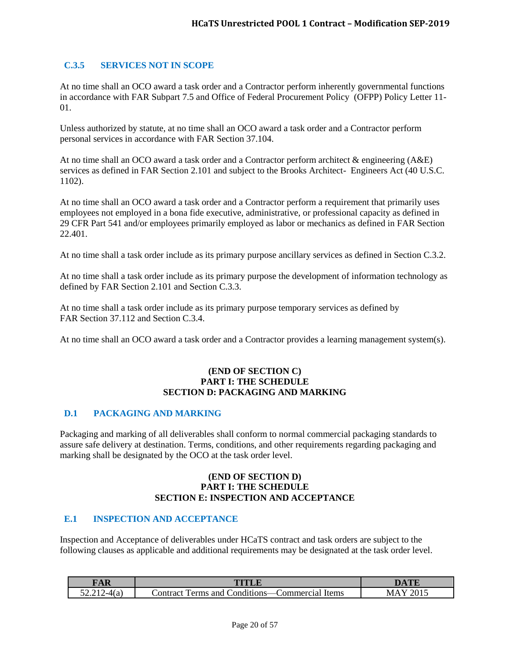# <span id="page-19-0"></span>**C.3.5 SERVICES NOT IN SCOPE**

At no time shall an OCO award a task order and a Contractor perform inherently governmental functions in accordance with FAR Subpart 7.5 and Office of Federal Procurement Policy (OFPP) Policy Letter 11- 01.

Unless authorized by statute, at no time shall an OCO award a task order and a Contractor perform personal services in accordance with FAR Section 37.104.

At no time shall an OCO award a task order and a Contractor perform architect & engineering (A&E) services as defined in FAR Section 2.101 and subject to the Brooks Architect- Engineers Act (40 U.S.C. 1102).

At no time shall an OCO award a task order and a Contractor perform a requirement that primarily uses employees not employed in a bona fide executive, administrative, or professional capacity as defined in 29 CFR Part 541 and/or employees primarily employed as labor or mechanics as defined in FAR Section 22.401.

At no time shall a task order include as its primary purpose ancillary services as defined in Section C.3.2.

At no time shall a task order include as its primary purpose the development of information technology as defined by FAR Section 2.101 and Section C.3.3.

At no time shall a task order include as its primary purpose temporary services as defined by FAR Section 37.112 and Section C.3.4.

At no time shall an OCO award a task order and a Contractor provides a learning management system(s).

#### **(END OF SECTION C) PART I: THE SCHEDULE SECTION D: PACKAGING AND MARKING**

#### <span id="page-19-1"></span>**D.1 PACKAGING AND MARKING**

Packaging and marking of all deliverables shall conform to normal commercial packaging standards to assure safe delivery at destination. Terms, conditions, and other requirements regarding packaging and marking shall be designated by the OCO at the task order level.

#### **(END OF SECTION D) PART I: THE SCHEDULE SECTION E: INSPECTION AND ACCEPTANCE**

#### <span id="page-19-2"></span>**E.1 INSPECTION AND ACCEPTANCE**

Inspection and Acceptance of deliverables under HCaTS contract and task orders are subject to the following clauses as applicable and additional requirements may be designated at the task order level.

| $\sqrt{2}$ |                                                                         |   |
|------------|-------------------------------------------------------------------------|---|
|            | $\cdot$<br>Items<br>'ontract<br>onditions:/<br>`ommercia<br>and<br>erms | M |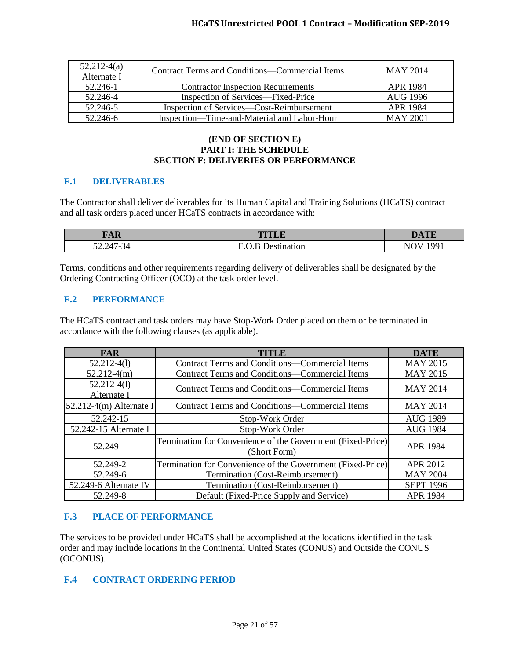| $52.212-4(a)$<br>Alternate I | Contract Terms and Conditions—Commercial Items | MAY 2014        |
|------------------------------|------------------------------------------------|-----------------|
| 52.246-1                     | <b>Contractor Inspection Requirements</b>      | APR 1984        |
| 52.246-4                     | Inspection of Services—Fixed-Price             | AUG 1996        |
| 52.246-5                     | Inspection of Services—Cost-Reimbursement      | APR 1984        |
| 52.246-6                     | Inspection—Time-and-Material and Labor-Hour    | <b>MAY 2001</b> |

## **(END OF SECTION E) PART I: THE SCHEDULE SECTION F: DELIVERIES OR PERFORMANCE**

# <span id="page-20-0"></span>**F.1 DELIVERABLES**

The Contractor shall deliver deliverables for its Human Capital and Training Solutions (HCaTS) contract and all task orders placed under HCaTS contracts in accordance with:

| $\nabla \Lambda$ D<br><b>TAIL</b> | TITI F  | <b>DAMP</b>      |
|-----------------------------------|---------|------------------|
| $52.247 - 34$                     | 12t1 Or | ۵۵۰٬<br>N<br>-11 |

Terms, conditions and other requirements regarding delivery of deliverables shall be designated by the Ordering Contracting Officer (OCO) at the task order level.

#### <span id="page-20-1"></span>**F.2 PERFORMANCE**

The HCaTS contract and task orders may have Stop-Work Order placed on them or be terminated in accordance with the following clauses (as applicable).

| <b>FAR</b>                   | TITLE                                                                       | <b>DATE</b>      |
|------------------------------|-----------------------------------------------------------------------------|------------------|
| $52.212 - 4(1)$              | Contract Terms and Conditions—Commercial Items                              | <b>MAY 2015</b>  |
| $52.212-4(m)$                | Contract Terms and Conditions—Commercial Items                              | <b>MAY 2015</b>  |
| $52.212-4(l)$<br>Alternate I | Contract Terms and Conditions—Commercial Items                              | <b>MAY 2014</b>  |
| $52.212-4(m)$ Alternate I    | <b>Contract Terms and Conditions—Commercial Items</b>                       | <b>MAY 2014</b>  |
| 52.242-15                    | Stop-Work Order                                                             | <b>AUG 1989</b>  |
| 52.242-15 Alternate I        | Stop-Work Order                                                             | <b>AUG 1984</b>  |
| 52.249-1                     | Termination for Convenience of the Government (Fixed-Price)<br>(Short Form) | <b>APR 1984</b>  |
| 52.249-2                     | Termination for Convenience of the Government (Fixed-Price)                 | <b>APR 2012</b>  |
| 52.249-6                     | Termination (Cost-Reimbursement)                                            | <b>MAY 2004</b>  |
| 52.249-6 Alternate IV        | Termination (Cost-Reimbursement)                                            | <b>SEPT 1996</b> |
| 52.249-8                     | Default (Fixed-Price Supply and Service)                                    | <b>APR 1984</b>  |

# <span id="page-20-2"></span>**F.3 PLACE OF PERFORMANCE**

The services to be provided under HCaTS shall be accomplished at the locations identified in the task order and may include locations in the Continental United States (CONUS) and Outside the CONUS (OCONUS).

# <span id="page-20-3"></span>**F.4 CONTRACT ORDERING PERIOD**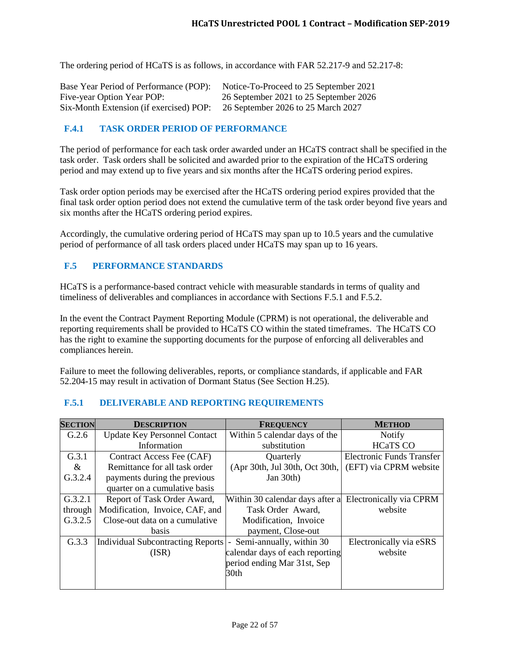The ordering period of HCaTS is as follows, in accordance with FAR 52.217-9 and 52.217-8:

| Base Year Period of Performance (POP):  | Notice-To-Proceed to 25 September 2021 |
|-----------------------------------------|----------------------------------------|
| Five-year Option Year POP:              | 26 September 2021 to 25 September 2026 |
| Six-Month Extension (if exercised) POP: | 26 September 2026 to 25 March 2027     |

## <span id="page-21-0"></span>**F.4.1 TASK ORDER PERIOD OF PERFORMANCE**

The period of performance for each task order awarded under an HCaTS contract shall be specified in the task order. Task orders shall be solicited and awarded prior to the expiration of the HCaTS ordering period and may extend up to five years and six months after the HCaTS ordering period expires.

Task order option periods may be exercised after the HCaTS ordering period expires provided that the final task order option period does not extend the cumulative term of the task order beyond five years and six months after the HCaTS ordering period expires.

Accordingly, the cumulative ordering period of HCaTS may span up to 10.5 years and the cumulative period of performance of all task orders placed under HCaTS may span up to 16 years.

#### <span id="page-21-1"></span>**F.5 PERFORMANCE STANDARDS**

HCaTS is a performance-based contract vehicle with measurable standards in terms of quality and timeliness of deliverables and compliances in accordance with Sections F.5.1 and F.5.2.

In the event the Contract Payment Reporting Module (CPRM) is not operational, the deliverable and reporting requirements shall be provided to HCaTS CO within the stated timeframes. The HCaTS CO has the right to examine the supporting documents for the purpose of enforcing all deliverables and compliances herein.

Failure to meet the following deliverables, reports, or compliance standards, if applicable and FAR 52.204-15 may result in activation of Dormant Status (See Section H.25).

| <b>SECTION</b> | <b>DESCRIPTION</b>                       | <b>FREQUENCY</b>                                        | <b>METHOD</b>             |
|----------------|------------------------------------------|---------------------------------------------------------|---------------------------|
| G.2.6          | <b>Update Key Personnel Contact</b>      | Within 5 calendar days of the                           | <b>Notify</b>             |
|                | Information                              | substitution                                            | <b>HCaTS CO</b>           |
| G.3.1          | Contract Access Fee (CAF)                | Quarterly                                               | Electronic Funds Transfer |
| $\&$           | Remittance for all task order            | (Apr 30th, Jul 30th, Oct 30th,                          | (EFT) via CPRM website    |
| G.3.2.4        | payments during the previous             | Jan 30th)                                               |                           |
|                | quarter on a cumulative basis            |                                                         |                           |
| G.3.2.1        | Report of Task Order Award,              | Within 30 calendar days after a Electronically via CPRM |                           |
| through        | Modification, Invoice, CAF, and          | Task Order Award,                                       | website                   |
| G.3.2.5        | Close-out data on a cumulative           | Modification, Invoice                                   |                           |
|                | <b>basis</b>                             | payment, Close-out                                      |                           |
| G.3.3          | <b>Individual Subcontracting Reports</b> | Semi-annually, within 30<br>$\overline{\phantom{0}}$    | Electronically via eSRS   |
|                | (ISR)                                    | calendar days of each reporting                         | website                   |
|                |                                          | period ending Mar 31st, Sep                             |                           |
|                |                                          | 30 <sub>th</sub>                                        |                           |
|                |                                          |                                                         |                           |

#### <span id="page-21-2"></span>**F.5.1 DELIVERABLE AND REPORTING REQUIREMENTS**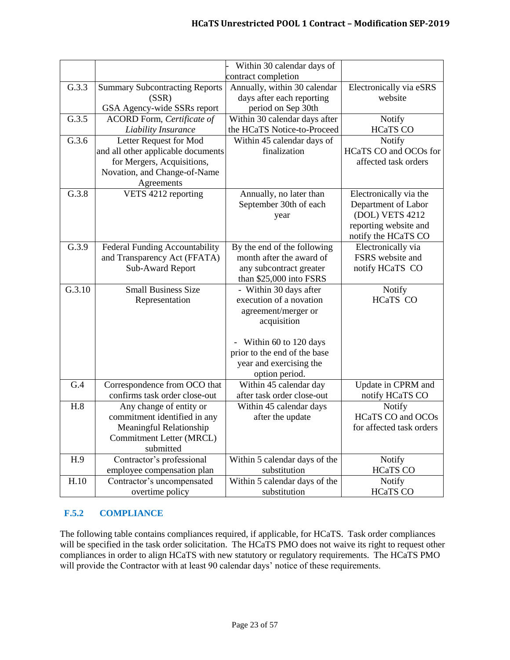|        |                                       | Within 30 calendar days of         |                          |
|--------|---------------------------------------|------------------------------------|--------------------------|
|        |                                       | contract completion                |                          |
| G.3.3  | <b>Summary Subcontracting Reports</b> | Annually, within 30 calendar       | Electronically via eSRS  |
|        | (SSR)                                 | days after each reporting          | website                  |
|        | GSA Agency-wide SSRs report           | period on Sep 30th                 |                          |
| G.3.5  | <b>ACORD Form, Certificate of</b>     | Within 30 calendar days after      | Notify                   |
|        | <b>Liability Insurance</b>            | the HCaTS Notice-to-Proceed        | <b>HCaTS CO</b>          |
| G.3.6  | Letter Request for Mod                | Within 45 calendar days of         | Notify                   |
|        | and all other applicable documents    | finalization                       | HCaTS CO and OCOs for    |
|        | for Mergers, Acquisitions,            |                                    | affected task orders     |
|        | Novation, and Change-of-Name          |                                    |                          |
|        | Agreements                            |                                    |                          |
| G.3.8  | VETS 4212 reporting                   | Annually, no later than            | Electronically via the   |
|        |                                       | September 30th of each             | Department of Labor      |
|        |                                       | year                               | (DOL) VETS 4212          |
|        |                                       |                                    | reporting website and    |
|        |                                       |                                    | notify the HCaTS CO      |
| G.3.9  | Federal Funding Accountability        | By the end of the following        | Electronically via       |
|        | and Transparency Act (FFATA)          | month after the award of           | FSRS website and         |
|        | Sub-Award Report                      | any subcontract greater            | notify HCaTS CO          |
|        | <b>Small Business Size</b>            | than \$25,000 into FSRS            |                          |
| G.3.10 |                                       | - Within 30 days after             | Notify                   |
|        | Representation                        | execution of a novation            | <b>HCaTS CO</b>          |
|        |                                       | agreement/merger or<br>acquisition |                          |
|        |                                       |                                    |                          |
|        |                                       | Within 60 to 120 days              |                          |
|        |                                       | prior to the end of the base       |                          |
|        |                                       | year and exercising the            |                          |
|        |                                       | option period.                     |                          |
| G.4    | Correspondence from OCO that          | Within 45 calendar day             | Update in CPRM and       |
|        | confirms task order close-out         | after task order close-out         | notify HCaTS CO          |
| H.8    | Any change of entity or               | Within 45 calendar days            | Notify                   |
|        | commitment identified in any          | after the update                   | <b>HCaTS CO and OCOs</b> |
|        | Meaningful Relationship               |                                    | for affected task orders |
|        | Commitment Letter (MRCL)              |                                    |                          |
|        | submitted                             |                                    |                          |
| H.9    | Contractor's professional             | Within 5 calendar days of the      | Notify                   |
|        | employee compensation plan            | substitution                       | <b>HCaTS CO</b>          |
| H.10   | Contractor's uncompensated            | Within 5 calendar days of the      | Notify                   |
|        | overtime policy                       | substitution                       | <b>HCaTS CO</b>          |

# <span id="page-22-0"></span>**F.5.2 COMPLIANCE**

The following table contains compliances required, if applicable, for HCaTS. Task order compliances will be specified in the task order solicitation. The HCaTS PMO does not waive its right to request other compliances in order to align HCaTS with new statutory or regulatory requirements. The HCaTS PMO will provide the Contractor with at least 90 calendar days' notice of these requirements.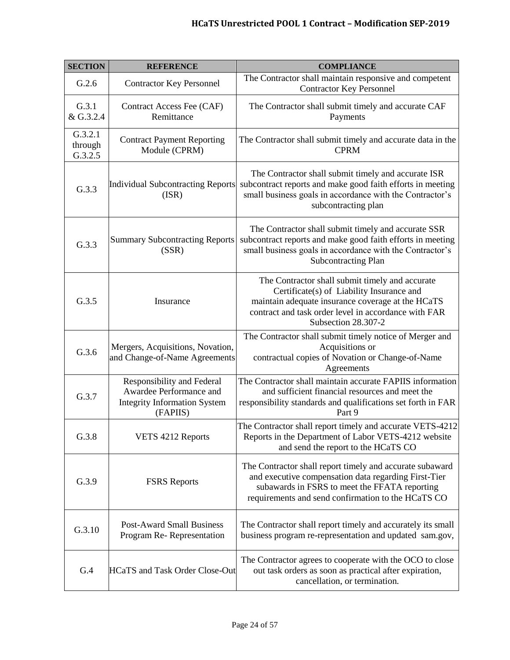# **HCaTS Unrestricted POOL 1 Contract – Modification SEP-2019**

| <b>SECTION</b>                | <b>REFERENCE</b>                                                                                         | <b>COMPLIANCE</b>                                                                                                                                                                                                                |
|-------------------------------|----------------------------------------------------------------------------------------------------------|----------------------------------------------------------------------------------------------------------------------------------------------------------------------------------------------------------------------------------|
| G.2.6                         | <b>Contractor Key Personnel</b>                                                                          | The Contractor shall maintain responsive and competent<br><b>Contractor Key Personnel</b>                                                                                                                                        |
| G.3.1<br>& G.3.2.4            | Contract Access Fee (CAF)<br>Remittance                                                                  | The Contractor shall submit timely and accurate CAF<br>Payments                                                                                                                                                                  |
| G.3.2.1<br>through<br>G.3.2.5 | <b>Contract Payment Reporting</b><br>Module (CPRM)                                                       | The Contractor shall submit timely and accurate data in the<br><b>CPRM</b>                                                                                                                                                       |
| G.3.3                         | <b>Individual Subcontracting Reports</b><br>(ISR)                                                        | The Contractor shall submit timely and accurate ISR<br>subcontract reports and make good faith efforts in meeting<br>small business goals in accordance with the Contractor's<br>subcontracting plan                             |
| G.3.3                         | <b>Summary Subcontracting Reports</b><br>(SSR)                                                           | The Contractor shall submit timely and accurate SSR<br>subcontract reports and make good faith efforts in meeting<br>small business goals in accordance with the Contractor's<br><b>Subcontracting Plan</b>                      |
| G.3.5                         | Insurance                                                                                                | The Contractor shall submit timely and accurate<br>Certificate(s) of Liability Insurance and<br>maintain adequate insurance coverage at the HCaTS<br>contract and task order level in accordance with FAR<br>Subsection 28.307-2 |
| G.3.6                         | Mergers, Acquisitions, Novation,<br>and Change-of-Name Agreements                                        | The Contractor shall submit timely notice of Merger and<br>Acquisitions or<br>contractual copies of Novation or Change-of-Name<br>Agreements                                                                                     |
| G.3.7                         | Responsibility and Federal<br>Awardee Performance and<br><b>Integrity Information System</b><br>(FAPIIS) | The Contractor shall maintain accurate FAPIIS information<br>and sufficient financial resources and meet the<br>responsibility standards and qualifications set forth in FAR<br>Part 9                                           |
| G.3.8                         | VETS 4212 Reports                                                                                        | The Contractor shall report timely and accurate VETS-4212<br>Reports in the Department of Labor VETS-4212 website<br>and send the report to the HCaTS CO                                                                         |
| G.3.9                         | <b>FSRS</b> Reports                                                                                      | The Contractor shall report timely and accurate subaward<br>and executive compensation data regarding First-Tier<br>subawards in FSRS to meet the FFATA reporting<br>requirements and send confirmation to the HCaTS CO          |
| G.3.10                        | <b>Post-Award Small Business</b><br>Program Re-Representation                                            | The Contractor shall report timely and accurately its small<br>business program re-representation and updated sam.gov,                                                                                                           |
| G.4                           | <b>HCaTS</b> and Task Order Close-Out                                                                    | The Contractor agrees to cooperate with the OCO to close<br>out task orders as soon as practical after expiration,<br>cancellation, or termination.                                                                              |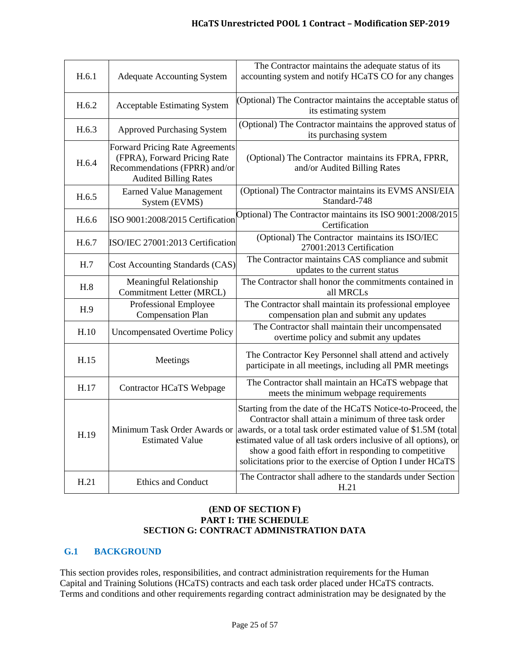| H.6.1 | <b>Adequate Accounting System</b>                                                                                                | The Contractor maintains the adequate status of its<br>accounting system and notify HCaTS CO for any changes                                                                                                                                                                                                                                                                      |
|-------|----------------------------------------------------------------------------------------------------------------------------------|-----------------------------------------------------------------------------------------------------------------------------------------------------------------------------------------------------------------------------------------------------------------------------------------------------------------------------------------------------------------------------------|
| H.6.2 | <b>Acceptable Estimating System</b>                                                                                              | (Optional) The Contractor maintains the acceptable status of<br>its estimating system                                                                                                                                                                                                                                                                                             |
| H.6.3 | <b>Approved Purchasing System</b>                                                                                                | (Optional) The Contractor maintains the approved status of<br>its purchasing system                                                                                                                                                                                                                                                                                               |
| H.6.4 | Forward Pricing Rate Agreements<br>(FPRA), Forward Pricing Rate<br>Recommendations (FPRR) and/or<br><b>Audited Billing Rates</b> | (Optional) The Contractor maintains its FPRA, FPRR,<br>and/or Audited Billing Rates                                                                                                                                                                                                                                                                                               |
| H.6.5 | <b>Earned Value Management</b><br>System (EVMS)                                                                                  | (Optional) The Contractor maintains its EVMS ANSI/EIA<br>Standard-748                                                                                                                                                                                                                                                                                                             |
| H.6.6 | ISO 9001:2008/2015 Certification                                                                                                 | Optional) The Contractor maintains its ISO 9001:2008/2015<br>Certification                                                                                                                                                                                                                                                                                                        |
| H.6.7 | ISO/IEC 27001:2013 Certification                                                                                                 | (Optional) The Contractor maintains its ISO/IEC<br>27001:2013 Certification                                                                                                                                                                                                                                                                                                       |
| H.7   | <b>Cost Accounting Standards (CAS)</b>                                                                                           | The Contractor maintains CAS compliance and submit<br>updates to the current status                                                                                                                                                                                                                                                                                               |
|       |                                                                                                                                  |                                                                                                                                                                                                                                                                                                                                                                                   |
| H.8   | Meaningful Relationship<br><b>Commitment Letter (MRCL)</b>                                                                       | The Contractor shall honor the commitments contained in<br>all MRCLs                                                                                                                                                                                                                                                                                                              |
| H.9   | Professional Employee<br><b>Compensation Plan</b>                                                                                | The Contractor shall maintain its professional employee<br>compensation plan and submit any updates                                                                                                                                                                                                                                                                               |
| H.10  | <b>Uncompensated Overtime Policy</b>                                                                                             | The Contractor shall maintain their uncompensated<br>overtime policy and submit any updates                                                                                                                                                                                                                                                                                       |
| H.15  | Meetings                                                                                                                         | The Contractor Key Personnel shall attend and actively<br>participate in all meetings, including all PMR meetings                                                                                                                                                                                                                                                                 |
| H.17  | <b>Contractor HCaTS Webpage</b>                                                                                                  | The Contractor shall maintain an HCaTS webpage that<br>meets the minimum webpage requirements                                                                                                                                                                                                                                                                                     |
| H.19  | Minimum Task Order Awards or<br><b>Estimated Value</b>                                                                           | Starting from the date of the HCaTS Notice-to-Proceed, the<br>Contractor shall attain a minimum of three task order<br>awards, or a total task order estimated value of \$1.5M (total<br>estimated value of all task orders inclusive of all options), or<br>show a good faith effort in responding to competitive<br>solicitations prior to the exercise of Option I under HCaTS |

#### **(END OF SECTION F) PART I: THE SCHEDULE SECTION G: CONTRACT ADMINISTRATION DATA**

# <span id="page-24-0"></span>**G.1 BACKGROUND**

This section provides roles, responsibilities, and contract administration requirements for the Human Capital and Training Solutions (HCaTS) contracts and each task order placed under HCaTS contracts. Terms and conditions and other requirements regarding contract administration may be designated by the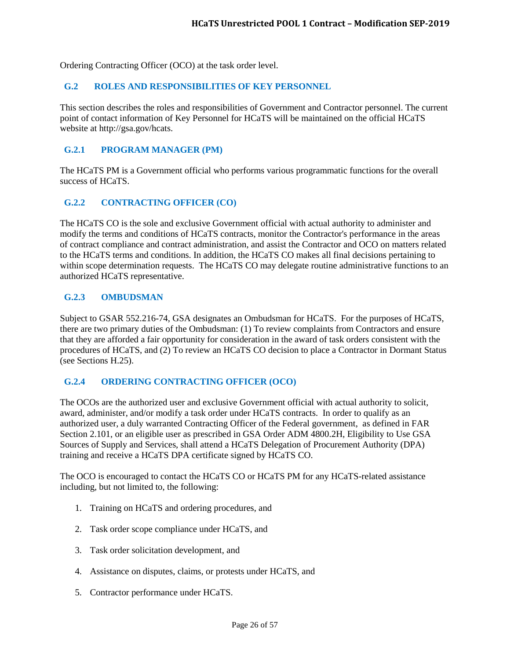Ordering Contracting Officer (OCO) at the task order level.

#### <span id="page-25-0"></span>**G.2 ROLES AND RESPONSIBILITIES OF KEY PERSONNEL**

This section describes the roles and responsibilities of Government and Contractor personnel. The current point of contact information of Key Personnel for HCaTS will be maintained on the official HCaTS website at http://gsa.gov/hcats.

#### <span id="page-25-1"></span>**G.2.1 PROGRAM MANAGER (PM)**

The HCaTS PM is a Government official who performs various programmatic functions for the overall success of HCaTS.

#### <span id="page-25-2"></span>**G.2.2 CONTRACTING OFFICER (CO)**

The HCaTS CO is the sole and exclusive Government official with actual authority to administer and modify the terms and conditions of HCaTS contracts, monitor the Contractor's performance in the areas of contract compliance and contract administration, and assist the Contractor and OCO on matters related to the HCaTS terms and conditions. In addition, the HCaTS CO makes all final decisions pertaining to within scope determination requests. The HCaTS CO may delegate routine administrative functions to an authorized HCaTS representative.

#### <span id="page-25-3"></span>**G.2.3 OMBUDSMAN**

Subject to GSAR 552.216-74, GSA designates an Ombudsman for HCaTS. For the purposes of HCaTS, there are two primary duties of the Ombudsman: (1) To review complaints from Contractors and ensure that they are afforded a fair opportunity for consideration in the award of task orders consistent with the procedures of HCaTS, and (2) To review an HCaTS CO decision to place a Contractor in Dormant Status (see Sections H.25).

#### <span id="page-25-4"></span>**G.2.4 ORDERING CONTRACTING OFFICER (OCO)**

The OCOs are the authorized user and exclusive Government official with actual authority to solicit, award, administer, and/or modify a task order under HCaTS contracts. In order to qualify as an authorized user, a duly warranted Contracting Officer of the Federal government, as defined in FAR Section 2.101, or an eligible user as prescribed in GSA Order ADM 4800.2H, Eligibility to Use GSA Sources of Supply and Services, shall attend a HCaTS Delegation of Procurement Authority (DPA) training and receive a HCaTS DPA certificate signed by HCaTS CO.

The OCO is encouraged to contact the HCaTS CO or HCaTS PM for any HCaTS-related assistance including, but not limited to, the following:

- 1. Training on HCaTS and ordering procedures, and
- 2. Task order scope compliance under HCaTS, and
- 3. Task order solicitation development, and
- 4. Assistance on disputes, claims, or protests under HCaTS, and
- 5. Contractor performance under HCaTS.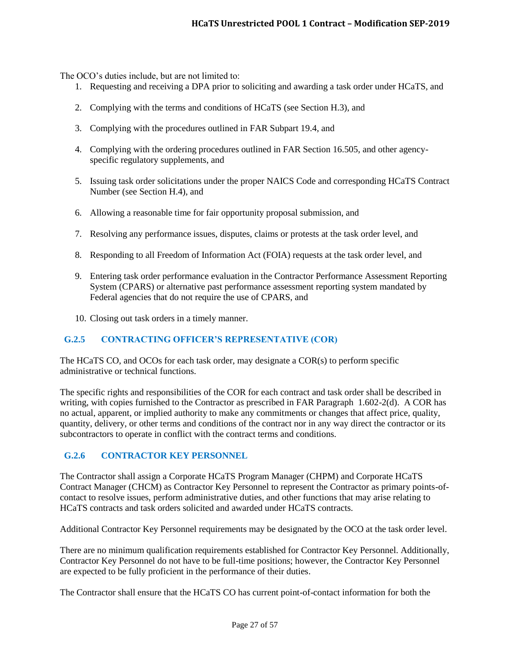The OCO's duties include, but are not limited to:

- 1. Requesting and receiving a DPA prior to soliciting and awarding a task order under HCaTS, and
- 2. Complying with the terms and conditions of HCaTS (see Section H.3), and
- 3. Complying with the procedures outlined in FAR Subpart 19.4, and
- 4. Complying with the ordering procedures outlined in FAR Section 16.505, and other agencyspecific regulatory supplements, and
- 5. Issuing task order solicitations under the proper NAICS Code and corresponding HCaTS Contract Number (see Section H.4), and
- 6. Allowing a reasonable time for fair opportunity proposal submission, and
- 7. Resolving any performance issues, disputes, claims or protests at the task order level, and
- 8. Responding to all Freedom of Information Act (FOIA) requests at the task order level, and
- 9. Entering task order performance evaluation in the Contractor Performance Assessment Reporting System (CPARS) or alternative past performance assessment reporting system mandated by Federal agencies that do not require the use of CPARS, and
- 10. Closing out task orders in a timely manner.

# <span id="page-26-0"></span>**G.2.5 CONTRACTING OFFICER'S REPRESENTATIVE (COR)**

The HCaTS CO, and OCOs for each task order, may designate a COR(s) to perform specific administrative or technical functions.

The specific rights and responsibilities of the COR for each contract and task order shall be described in writing, with copies furnished to the Contractor as prescribed in FAR Paragraph 1.602-2(d). A COR has no actual, apparent, or implied authority to make any commitments or changes that affect price, quality, quantity, delivery, or other terms and conditions of the contract nor in any way direct the contractor or its subcontractors to operate in conflict with the contract terms and conditions.

# <span id="page-26-1"></span>**G.2.6 CONTRACTOR KEY PERSONNEL**

The Contractor shall assign a Corporate HCaTS Program Manager (CHPM) and Corporate HCaTS Contract Manager (CHCM) as Contractor Key Personnel to represent the Contractor as primary points-ofcontact to resolve issues, perform administrative duties, and other functions that may arise relating to HCaTS contracts and task orders solicited and awarded under HCaTS contracts.

Additional Contractor Key Personnel requirements may be designated by the OCO at the task order level.

There are no minimum qualification requirements established for Contractor Key Personnel. Additionally, Contractor Key Personnel do not have to be full-time positions; however, the Contractor Key Personnel are expected to be fully proficient in the performance of their duties.

The Contractor shall ensure that the HCaTS CO has current point-of-contact information for both the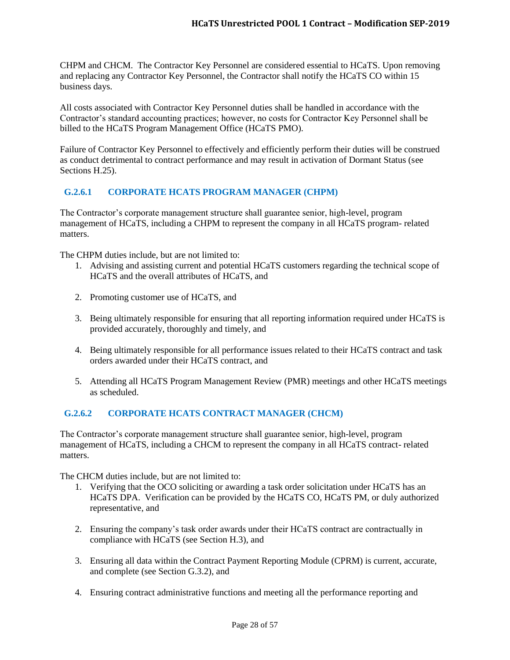CHPM and CHCM. The Contractor Key Personnel are considered essential to HCaTS. Upon removing and replacing any Contractor Key Personnel, the Contractor shall notify the HCaTS CO within 15 business days.

All costs associated with Contractor Key Personnel duties shall be handled in accordance with the Contractor's standard accounting practices; however, no costs for Contractor Key Personnel shall be billed to the HCaTS Program Management Office (HCaTS PMO).

Failure of Contractor Key Personnel to effectively and efficiently perform their duties will be construed as conduct detrimental to contract performance and may result in activation of Dormant Status (see Sections H.25).

# <span id="page-27-0"></span>**G.2.6.1 CORPORATE HCATS PROGRAM MANAGER (CHPM)**

The Contractor's corporate management structure shall guarantee senior, high-level, program management of HCaTS, including a CHPM to represent the company in all HCaTS program- related matters.

The CHPM duties include, but are not limited to:

- 1. Advising and assisting current and potential HCaTS customers regarding the technical scope of HCaTS and the overall attributes of HCaTS, and
- 2. Promoting customer use of HCaTS, and
- 3. Being ultimately responsible for ensuring that all reporting information required under HCaTS is provided accurately, thoroughly and timely, and
- 4. Being ultimately responsible for all performance issues related to their HCaTS contract and task orders awarded under their HCaTS contract, and
- 5. Attending all HCaTS Program Management Review (PMR) meetings and other HCaTS meetings as scheduled.

# <span id="page-27-1"></span>**G.2.6.2 CORPORATE HCATS CONTRACT MANAGER (CHCM)**

The Contractor's corporate management structure shall guarantee senior, high-level, program management of HCaTS, including a CHCM to represent the company in all HCaTS contract- related matters.

The CHCM duties include, but are not limited to:

- 1. Verifying that the OCO soliciting or awarding a task order solicitation under HCaTS has an HCaTS DPA. Verification can be provided by the HCaTS CO, HCaTS PM, or duly authorized representative, and
- 2. Ensuring the company's task order awards under their HCaTS contract are contractually in compliance with HCaTS (see Section H.3), and
- 3. Ensuring all data within the Contract Payment Reporting Module (CPRM) is current, accurate, and complete (see Section G.3.2), and
- 4. Ensuring contract administrative functions and meeting all the performance reporting and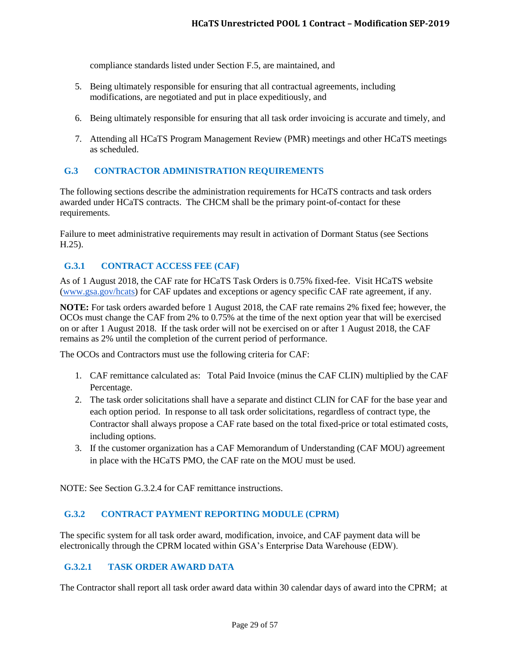compliance standards listed under Section F.5, are maintained, and

- 5. Being ultimately responsible for ensuring that all contractual agreements, including modifications, are negotiated and put in place expeditiously, and
- 6. Being ultimately responsible for ensuring that all task order invoicing is accurate and timely, and
- 7. Attending all HCaTS Program Management Review (PMR) meetings and other HCaTS meetings as scheduled.

#### <span id="page-28-0"></span>**G.3 CONTRACTOR ADMINISTRATION REQUIREMENTS**

The following sections describe the administration requirements for HCaTS contracts and task orders awarded under HCaTS contracts. The CHCM shall be the primary point-of-contact for these requirements.

Failure to meet administrative requirements may result in activation of Dormant Status (see Sections H.25).

## <span id="page-28-1"></span>**G.3.1 CONTRACT ACCESS FEE (CAF)**

As of 1 August 2018, the CAF rate for HCaTS Task Orders is 0.75% fixed-fee. Visit HCaTS website [\(www.gsa.gov/hcats\)](http://www.gsa.gov/hcats) for CAF updates and exceptions or agency specific CAF rate agreement, if any.

**NOTE:** For task orders awarded before 1 August 2018, the CAF rate remains 2% fixed fee; however, the OCOs must change the CAF from 2% to 0.75% at the time of the next option year that will be exercised on or after 1 August 2018. If the task order will not be exercised on or after 1 August 2018, the CAF remains as 2% until the completion of the current period of performance.

The OCOs and Contractors must use the following criteria for CAF:

- 1. CAF remittance calculated as: Total Paid Invoice (minus the CAF CLIN) multiplied by the CAF Percentage.
- 2. The task order solicitations shall have a separate and distinct CLIN for CAF for the base year and each option period. In response to all task order solicitations, regardless of contract type, the Contractor shall always propose a CAF rate based on the total fixed-price or total estimated costs, including options.
- 3. If the customer organization has a CAF Memorandum of Understanding (CAF MOU) agreement in place with the HCaTS PMO, the CAF rate on the MOU must be used.

NOTE: See Section G.3.2.4 for CAF remittance instructions.

#### <span id="page-28-2"></span>**G.3.2 CONTRACT PAYMENT REPORTING MODULE (CPRM)**

The specific system for all task order award, modification, invoice, and CAF payment data will be electronically through the CPRM located within GSA's Enterprise Data Warehouse (EDW).

#### <span id="page-28-3"></span>**G.3.2.1 TASK ORDER AWARD DATA**

The Contractor shall report all task order award data within 30 calendar days of award into the CPRM; at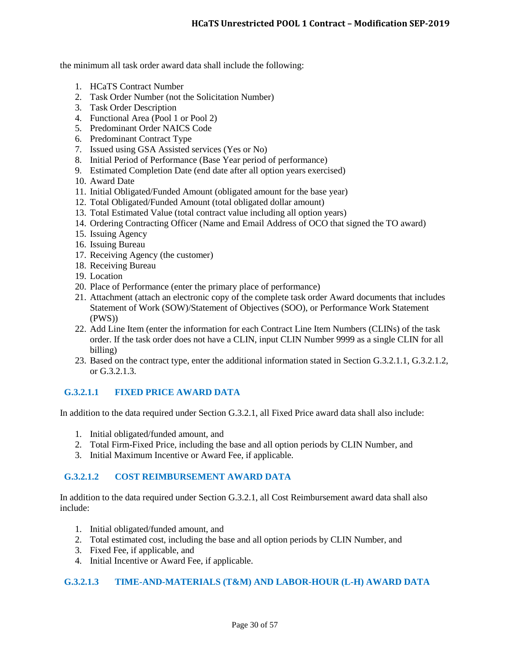the minimum all task order award data shall include the following:

- 1. HCaTS Contract Number
- 2. Task Order Number (not the Solicitation Number)
- 3. Task Order Description
- 4. Functional Area (Pool 1 or Pool 2)
- 5. Predominant Order NAICS Code
- 6. Predominant Contract Type
- 7. Issued using GSA Assisted services (Yes or No)
- 8. Initial Period of Performance (Base Year period of performance)
- 9. Estimated Completion Date (end date after all option years exercised)
- 10. Award Date
- 11. Initial Obligated/Funded Amount (obligated amount for the base year)
- 12. Total Obligated/Funded Amount (total obligated dollar amount)
- 13. Total Estimated Value (total contract value including all option years)
- 14. Ordering Contracting Officer (Name and Email Address of OCO that signed the TO award)
- 15. Issuing Agency
- 16. Issuing Bureau
- 17. Receiving Agency (the customer)
- 18. Receiving Bureau
- 19. Location
- 20. Place of Performance (enter the primary place of performance)
- 21. Attachment (attach an electronic copy of the complete task order Award documents that includes Statement of Work (SOW)/Statement of Objectives (SOO), or Performance Work Statement (PWS))
- 22. Add Line Item (enter the information for each Contract Line Item Numbers (CLINs) of the task order. If the task order does not have a CLIN, input CLIN Number 9999 as a single CLIN for all billing)
- 23. Based on the contract type, enter the additional information stated in Section G.3.2.1.1, G.3.2.1.2, or G.3.2.1.3.

# <span id="page-29-0"></span>**G.3.2.1.1 FIXED PRICE AWARD DATA**

In addition to the data required under Section G.3.2.1, all Fixed Price award data shall also include:

- 1. Initial obligated/funded amount, and
- 2. Total Firm-Fixed Price, including the base and all option periods by CLIN Number, and
- 3. Initial Maximum Incentive or Award Fee, if applicable.

#### <span id="page-29-1"></span>**G.3.2.1.2 COST REIMBURSEMENT AWARD DATA**

In addition to the data required under Section G.3.2.1, all Cost Reimbursement award data shall also include:

- 1. Initial obligated/funded amount, and
- 2. Total estimated cost, including the base and all option periods by CLIN Number, and
- 3. Fixed Fee, if applicable, and
- 4. Initial Incentive or Award Fee, if applicable.

#### <span id="page-29-2"></span>**G.3.2.1.3 TIME-AND-MATERIALS (T&M) AND LABOR-HOUR (L-H) AWARD DATA**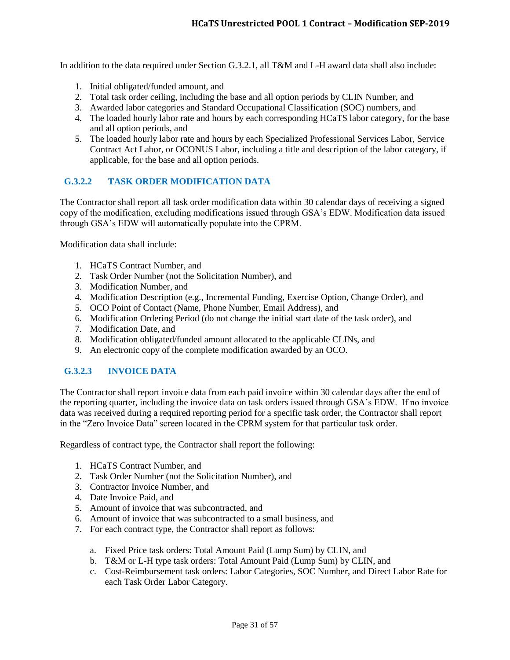In addition to the data required under Section G.3.2.1, all T&M and L-H award data shall also include:

- 1. Initial obligated/funded amount, and
- 2. Total task order ceiling, including the base and all option periods by CLIN Number, and
- 3. Awarded labor categories and Standard Occupational Classification (SOC) numbers, and
- 4. The loaded hourly labor rate and hours by each corresponding HCaTS labor category, for the base and all option periods, and
- 5. The loaded hourly labor rate and hours by each Specialized Professional Services Labor, Service Contract Act Labor, or OCONUS Labor, including a title and description of the labor category, if applicable, for the base and all option periods.

## <span id="page-30-0"></span>**G.3.2.2 TASK ORDER MODIFICATION DATA**

The Contractor shall report all task order modification data within 30 calendar days of receiving a signed copy of the modification, excluding modifications issued through GSA's EDW. Modification data issued through GSA's EDW will automatically populate into the CPRM.

Modification data shall include:

- 1. HCaTS Contract Number, and
- 2. Task Order Number (not the Solicitation Number), and
- 3. Modification Number, and
- 4. Modification Description (e.g., Incremental Funding, Exercise Option, Change Order), and
- 5. OCO Point of Contact (Name, Phone Number, Email Address), and
- 6. Modification Ordering Period (do not change the initial start date of the task order), and
- 7. Modification Date, and
- 8. Modification obligated/funded amount allocated to the applicable CLINs, and
- 9. An electronic copy of the complete modification awarded by an OCO.

# <span id="page-30-1"></span>**G.3.2.3 INVOICE DATA**

The Contractor shall report invoice data from each paid invoice within 30 calendar days after the end of the reporting quarter, including the invoice data on task orders issued through GSA's EDW. If no invoice data was received during a required reporting period for a specific task order, the Contractor shall report in the "Zero Invoice Data" screen located in the CPRM system for that particular task order.

Regardless of contract type, the Contractor shall report the following:

- 1. HCaTS Contract Number, and
- 2. Task Order Number (not the Solicitation Number), and
- 3. Contractor Invoice Number, and
- 4. Date Invoice Paid, and
- 5. Amount of invoice that was subcontracted, and
- 6. Amount of invoice that was subcontracted to a small business, and
- 7. For each contract type, the Contractor shall report as follows:
	- a. Fixed Price task orders: Total Amount Paid (Lump Sum) by CLIN, and
	- b. T&M or L-H type task orders: Total Amount Paid (Lump Sum) by CLIN, and
	- c. Cost-Reimbursement task orders: Labor Categories, SOC Number, and Direct Labor Rate for each Task Order Labor Category.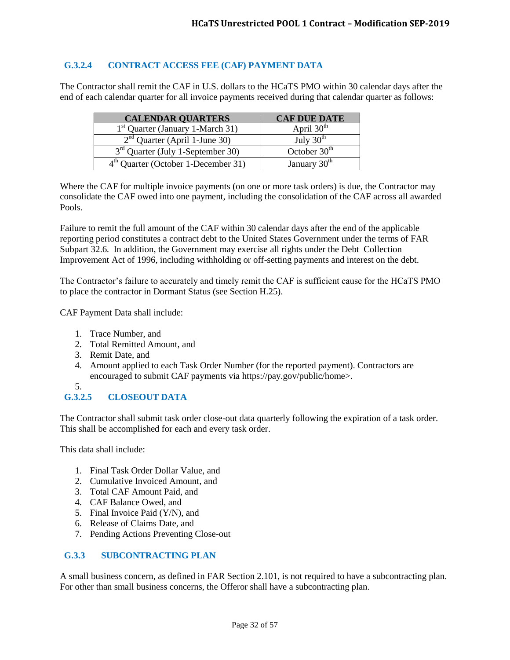# <span id="page-31-0"></span>**G.3.2.4 CONTRACT ACCESS FEE (CAF) PAYMENT DATA**

The Contractor shall remit the CAF in U.S. dollars to the HCaTS PMO within 30 calendar days after the end of each calendar quarter for all invoice payments received during that calendar quarter as follows:

| <b>CALENDAR QUARTERS</b>              | <b>CAF DUE DATE</b>      |
|---------------------------------------|--------------------------|
| $1st$ Quarter (January 1-March 31)    | April $30th$             |
| $2nd$ Quarter (April 1-June 30)       | July $30th$              |
| $3rd$ Quarter (July 1-September 30)   | October $30th$           |
| $4th$ Quarter (October 1-December 31) | January 30 <sup>th</sup> |

Where the CAF for multiple invoice payments (on one or more task orders) is due, the Contractor may consolidate the CAF owed into one payment, including the consolidation of the CAF across all awarded Pools.

Failure to remit the full amount of the CAF within 30 calendar days after the end of the applicable reporting period constitutes a contract debt to the United States Government under the terms of FAR Subpart 32.6. In addition, the Government may exercise all rights under the Debt Collection Improvement Act of 1996, including withholding or off-setting payments and interest on the debt.

The Contractor's failure to accurately and timely remit the CAF is sufficient cause for the HCaTS PMO to place the contractor in Dormant Status (see Section H.25).

CAF Payment Data shall include:

- 1. Trace Number, and
- 2. Total Remitted Amount, and
- 3. Remit Date, and
- 4. Amount applied to each Task Order Number (for the reported payment). Contractors are encouraged to submit CAF payments via https://pay.gov/public/home>.
- 5.

# <span id="page-31-1"></span>**G.3.2.5 CLOSEOUT DATA**

The Contractor shall submit task order close-out data quarterly following the expiration of a task order. This shall be accomplished for each and every task order.

This data shall include:

- 1. Final Task Order Dollar Value, and
- 2. Cumulative Invoiced Amount, and
- 3. Total CAF Amount Paid, and
- 4. CAF Balance Owed, and
- 5. Final Invoice Paid (Y/N), and
- 6. Release of Claims Date, and
- 7. Pending Actions Preventing Close-out

## <span id="page-31-2"></span>**G.3.3 SUBCONTRACTING PLAN**

A small business concern, as defined in FAR Section 2.101, is not required to have a subcontracting plan. For other than small business concerns, the Offeror shall have a subcontracting plan.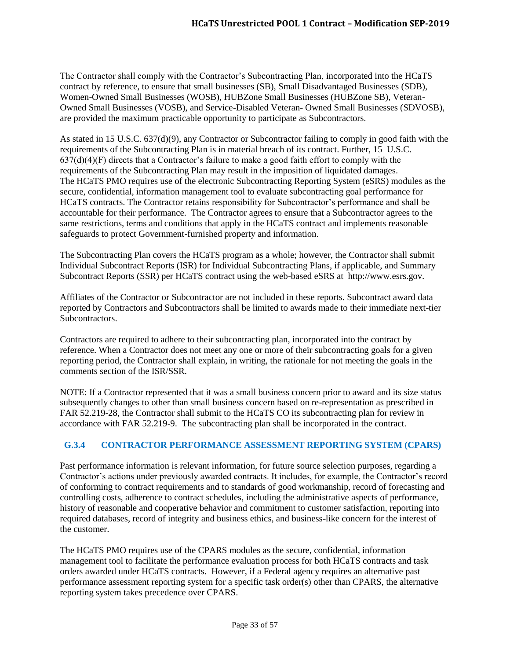The Contractor shall comply with the Contractor's Subcontracting Plan, incorporated into the HCaTS contract by reference, to ensure that small businesses (SB), Small Disadvantaged Businesses (SDB), Women-Owned Small Businesses (WOSB), HUBZone Small Businesses (HUBZone SB), Veteran-Owned Small Businesses (VOSB), and Service-Disabled Veteran- Owned Small Businesses (SDVOSB), are provided the maximum practicable opportunity to participate as Subcontractors.

As stated in 15 U.S.C. 637(d)(9), any Contractor or Subcontractor failing to comply in good faith with the requirements of the Subcontracting Plan is in material breach of its contract. Further, 15 U.S.C.  $637(d)(4)(F)$  directs that a Contractor's failure to make a good faith effort to comply with the requirements of the Subcontracting Plan may result in the imposition of liquidated damages. The HCaTS PMO requires use of the electronic Subcontracting Reporting System (eSRS) modules as the secure, confidential, information management tool to evaluate subcontracting goal performance for HCaTS contracts. The Contractor retains responsibility for Subcontractor's performance and shall be accountable for their performance. The Contractor agrees to ensure that a Subcontractor agrees to the same restrictions, terms and conditions that apply in the HCaTS contract and implements reasonable safeguards to protect Government-furnished property and information.

The Subcontracting Plan covers the HCaTS program as a whole; however, the Contractor shall submit Individual Subcontract Reports (ISR) for Individual Subcontracting Plans, if applicable, and Summary Subcontract Reports (SSR) per HCaTS contract using the web-based eSRS at http://www.esrs.gov.

Affiliates of the Contractor or Subcontractor are not included in these reports. Subcontract award data reported by Contractors and Subcontractors shall be limited to awards made to their immediate next-tier Subcontractors.

Contractors are required to adhere to their subcontracting plan, incorporated into the contract by reference. When a Contractor does not meet any one or more of their subcontracting goals for a given reporting period, the Contractor shall explain, in writing, the rationale for not meeting the goals in the comments section of the ISR/SSR.

NOTE: If a Contractor represented that it was a small business concern prior to award and its size status subsequently changes to other than small business concern based on re-representation as prescribed in FAR 52.219-28, the Contractor shall submit to the HCaTS CO its subcontracting plan for review in accordance with FAR 52.219-9. The subcontracting plan shall be incorporated in the contract.

# <span id="page-32-0"></span>**G.3.4 CONTRACTOR PERFORMANCE ASSESSMENT REPORTING SYSTEM (CPARS)**

Past performance information is relevant information, for future source selection purposes, regarding a Contractor's actions under previously awarded contracts. It includes, for example, the Contractor's record of conforming to contract requirements and to standards of good workmanship, record of forecasting and controlling costs, adherence to contract schedules, including the administrative aspects of performance, history of reasonable and cooperative behavior and commitment to customer satisfaction, reporting into required databases, record of integrity and business ethics, and business-like concern for the interest of the customer.

The HCaTS PMO requires use of the CPARS modules as the secure, confidential, information management tool to facilitate the performance evaluation process for both HCaTS contracts and task orders awarded under HCaTS contracts. However, if a Federal agency requires an alternative past performance assessment reporting system for a specific task order(s) other than CPARS, the alternative reporting system takes precedence over CPARS.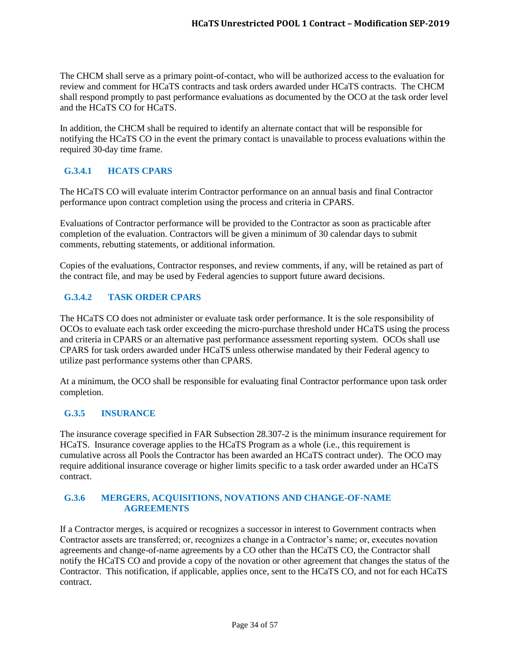The CHCM shall serve as a primary point-of-contact, who will be authorized access to the evaluation for review and comment for HCaTS contracts and task orders awarded under HCaTS contracts. The CHCM shall respond promptly to past performance evaluations as documented by the OCO at the task order level and the HCaTS CO for HCaTS.

In addition, the CHCM shall be required to identify an alternate contact that will be responsible for notifying the HCaTS CO in the event the primary contact is unavailable to process evaluations within the required 30-day time frame.

# <span id="page-33-0"></span>**G.3.4.1 HCATS CPARS**

The HCaTS CO will evaluate interim Contractor performance on an annual basis and final Contractor performance upon contract completion using the process and criteria in CPARS.

Evaluations of Contractor performance will be provided to the Contractor as soon as practicable after completion of the evaluation. Contractors will be given a minimum of 30 calendar days to submit comments, rebutting statements, or additional information.

Copies of the evaluations, Contractor responses, and review comments, if any, will be retained as part of the contract file, and may be used by Federal agencies to support future award decisions.

# <span id="page-33-1"></span>**G.3.4.2 TASK ORDER CPARS**

The HCaTS CO does not administer or evaluate task order performance. It is the sole responsibility of OCOs to evaluate each task order exceeding the micro-purchase threshold under HCaTS using the process and criteria in CPARS or an alternative past performance assessment reporting system. OCOs shall use CPARS for task orders awarded under HCaTS unless otherwise mandated by their Federal agency to utilize past performance systems other than CPARS.

At a minimum, the OCO shall be responsible for evaluating final Contractor performance upon task order completion.

# <span id="page-33-2"></span>**G.3.5 INSURANCE**

The insurance coverage specified in FAR Subsection 28.307-2 is the minimum insurance requirement for HCaTS. Insurance coverage applies to the HCaTS Program as a whole (i.e., this requirement is cumulative across all Pools the Contractor has been awarded an HCaTS contract under). The OCO may require additional insurance coverage or higher limits specific to a task order awarded under an HCaTS contract.

## <span id="page-33-3"></span>**G.3.6 MERGERS, ACQUISITIONS, NOVATIONS AND CHANGE-OF-NAME AGREEMENTS**

If a Contractor merges, is acquired or recognizes a successor in interest to Government contracts when Contractor assets are transferred; or, recognizes a change in a Contractor's name; or, executes novation agreements and change-of-name agreements by a CO other than the HCaTS CO, the Contractor shall notify the HCaTS CO and provide a copy of the novation or other agreement that changes the status of the Contractor. This notification, if applicable, applies once, sent to the HCaTS CO, and not for each HCaTS contract.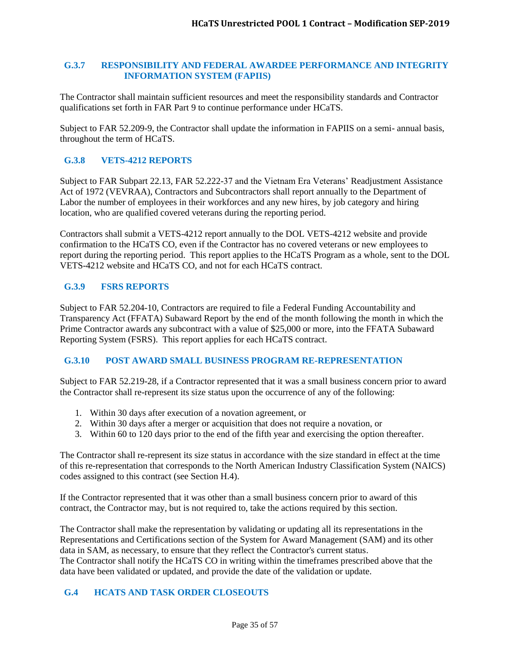#### <span id="page-34-0"></span>**G.3.7 RESPONSIBILITY AND FEDERAL AWARDEE PERFORMANCE AND INTEGRITY INFORMATION SYSTEM (FAPIIS)**

The Contractor shall maintain sufficient resources and meet the responsibility standards and Contractor qualifications set forth in FAR Part 9 to continue performance under HCaTS.

Subject to FAR 52.209-9, the Contractor shall update the information in FAPIIS on a semi- annual basis, throughout the term of HCaTS.

# <span id="page-34-1"></span>**G.3.8 VETS-4212 REPORTS**

Subject to FAR Subpart 22.13, FAR 52.222-37 and the Vietnam Era Veterans' Readjustment Assistance Act of 1972 (VEVRAA), Contractors and Subcontractors shall report annually to the Department of Labor the number of employees in their workforces and any new hires, by job category and hiring location, who are qualified covered veterans during the reporting period.

Contractors shall submit a VETS-4212 report annually to the DOL VETS-4212 website and provide confirmation to the HCaTS CO, even if the Contractor has no covered veterans or new employees to report during the reporting period. This report applies to the HCaTS Program as a whole, sent to the DOL VETS-4212 website and HCaTS CO, and not for each HCaTS contract.

# <span id="page-34-2"></span>**G.3.9 FSRS REPORTS**

Subject to FAR 52.204-10, Contractors are required to file a Federal Funding Accountability and Transparency Act (FFATA) Subaward Report by the end of the month following the month in which the Prime Contractor awards any subcontract with a value of \$25,000 or more, into the FFATA Subaward Reporting System (FSRS). This report applies for each HCaTS contract.

#### <span id="page-34-3"></span>**G.3.10 POST AWARD SMALL BUSINESS PROGRAM RE-REPRESENTATION**

Subject to FAR 52.219-28, if a Contractor represented that it was a small business concern prior to award the Contractor shall re-represent its size status upon the occurrence of any of the following:

- 1. Within 30 days after execution of a novation agreement, or
- 2. Within 30 days after a merger or acquisition that does not require a novation, or
- 3. Within 60 to 120 days prior to the end of the fifth year and exercising the option thereafter.

The Contractor shall re-represent its size status in accordance with the size standard in effect at the time of this re-representation that corresponds to the North American Industry Classification System (NAICS) codes assigned to this contract (see Section H.4).

If the Contractor represented that it was other than a small business concern prior to award of this contract, the Contractor may, but is not required to, take the actions required by this section.

The Contractor shall make the representation by validating or updating all its representations in the Representations and Certifications section of the System for Award Management (SAM) and its other data in SAM, as necessary, to ensure that they reflect the Contractor's current status. The Contractor shall notify the HCaTS CO in writing within the timeframes prescribed above that the data have been validated or updated, and provide the date of the validation or update.

# <span id="page-34-4"></span>**G.4 HCATS AND TASK ORDER CLOSEOUTS**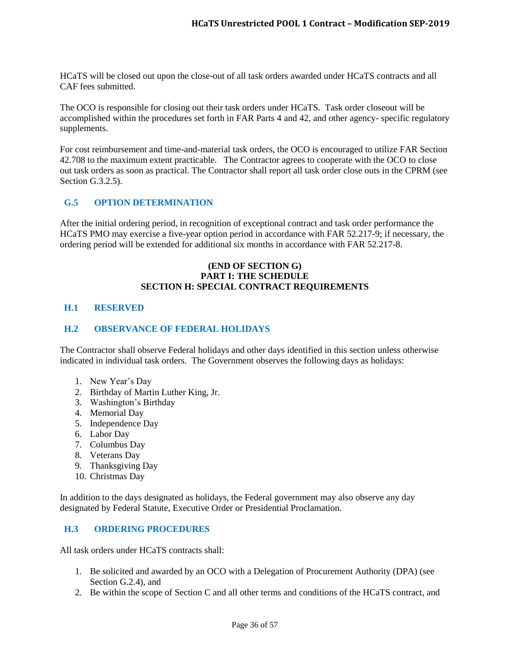HCaTS will be closed out upon the close-out of all task orders awarded under HCaTS contracts and all CAF fees submitted.

The OCO is responsible for closing out their task orders under HCaTS. Task order closeout will be accomplished within the procedures set forth in FAR Parts 4 and 42, and other agency- specific regulatory supplements.

For cost reimbursement and time-and-material task orders, the OCO is encouraged to utilize FAR Section 42.708 to the maximum extent practicable. The Contractor agrees to cooperate with the OCO to close out task orders as soon as practical. The Contractor shall report all task order close outs in the CPRM (see Section G.3.2.5).

## <span id="page-35-0"></span>**G.5 OPTION DETERMINATION**

After the initial ordering period, in recognition of exceptional contract and task order performance the HCaTS PMO may exercise a five-year option period in accordance with FAR 52.217-9; if necessary, the ordering period will be extended for additional six months in accordance with FAR 52.217-8.

## **(END OF SECTION G) PART I: THE SCHEDULE SECTION H: SPECIAL CONTRACT REQUIREMENTS**

#### <span id="page-35-1"></span>**H.1 RESERVED**

#### <span id="page-35-2"></span>**H.2 OBSERVANCE OF FEDERAL HOLIDAYS**

The Contractor shall observe Federal holidays and other days identified in this section unless otherwise indicated in individual task orders. The Government observes the following days as holidays:

- 1. New Year's Day
- 2. Birthday of Martin Luther King, Jr.
- 3. Washington's Birthday
- 4. Memorial Day
- 5. Independence Day
- 6. Labor Day
- 7. Columbus Day
- 8. Veterans Day
- 9. Thanksgiving Day
- 10. Christmas Day

In addition to the days designated as holidays, the Federal government may also observe any day designated by Federal Statute, Executive Order or Presidential Proclamation.

#### <span id="page-35-3"></span>**H.3 ORDERING PROCEDURES**

All task orders under HCaTS contracts shall:

- 1. Be solicited and awarded by an OCO with a Delegation of Procurement Authority (DPA) (see Section G.2.4), and
- 2. Be within the scope of Section C and all other terms and conditions of the HCaTS contract, and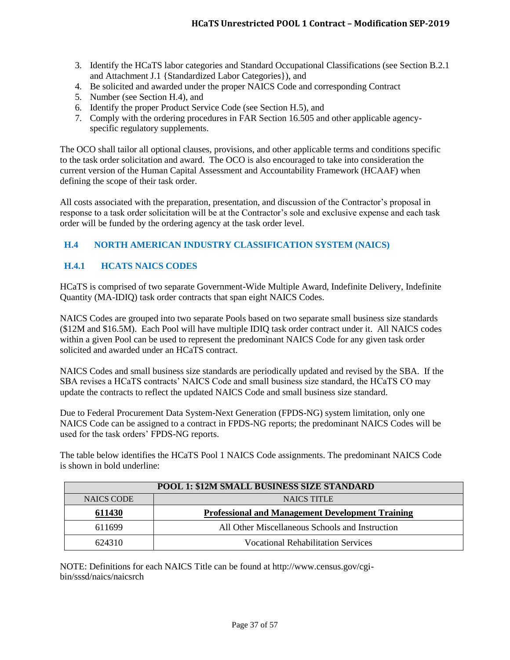- 3. Identify the HCaTS labor categories and Standard Occupational Classifications (see Section B.2.1 and Attachment J.1 {Standardized Labor Categories}), and
- 4. Be solicited and awarded under the proper NAICS Code and corresponding Contract
- 5. Number (see Section H.4), and
- 6. Identify the proper Product Service Code (see Section H.5), and
- 7. Comply with the ordering procedures in FAR Section 16.505 and other applicable agencyspecific regulatory supplements.

The OCO shall tailor all optional clauses, provisions, and other applicable terms and conditions specific to the task order solicitation and award. The OCO is also encouraged to take into consideration the current version of the Human Capital Assessment and Accountability Framework (HCAAF) when defining the scope of their task order.

All costs associated with the preparation, presentation, and discussion of the Contractor's proposal in response to a task order solicitation will be at the Contractor's sole and exclusive expense and each task order will be funded by the ordering agency at the task order level.

# <span id="page-36-0"></span>**H.4 NORTH AMERICAN INDUSTRY CLASSIFICATION SYSTEM (NAICS)**

## <span id="page-36-1"></span>**H.4.1 HCATS NAICS CODES**

HCaTS is comprised of two separate Government-Wide Multiple Award, Indefinite Delivery, Indefinite Quantity (MA-IDIQ) task order contracts that span eight NAICS Codes.

NAICS Codes are grouped into two separate Pools based on two separate small business size standards (\$12M and \$16.5M). Each Pool will have multiple IDIQ task order contract under it. All NAICS codes within a given Pool can be used to represent the predominant NAICS Code for any given task order solicited and awarded under an HCaTS contract.

NAICS Codes and small business size standards are periodically updated and revised by the SBA. If the SBA revises a HCaTS contracts' NAICS Code and small business size standard, the HCaTS CO may update the contracts to reflect the updated NAICS Code and small business size standard.

Due to Federal Procurement Data System-Next Generation (FPDS-NG) system limitation, only one NAICS Code can be assigned to a contract in FPDS-NG reports; the predominant NAICS Codes will be used for the task orders' FPDS-NG reports.

The table below identifies the HCaTS Pool 1 NAICS Code assignments. The predominant NAICS Code is shown in bold underline:

| POOL 1: \$12M SMALL BUSINESS SIZE STANDARD |                                                         |  |  |
|--------------------------------------------|---------------------------------------------------------|--|--|
| <b>NAICS CODE</b>                          | <b>NAICS TITLE</b>                                      |  |  |
| <u>611430</u>                              | <b>Professional and Management Development Training</b> |  |  |
| 611699                                     | All Other Miscellaneous Schools and Instruction         |  |  |
| 624310                                     | <b>Vocational Rehabilitation Services</b>               |  |  |

NOTE: Definitions for each NAICS Title can be found at http://www.census.gov/cgibin/sssd/naics/naicsrch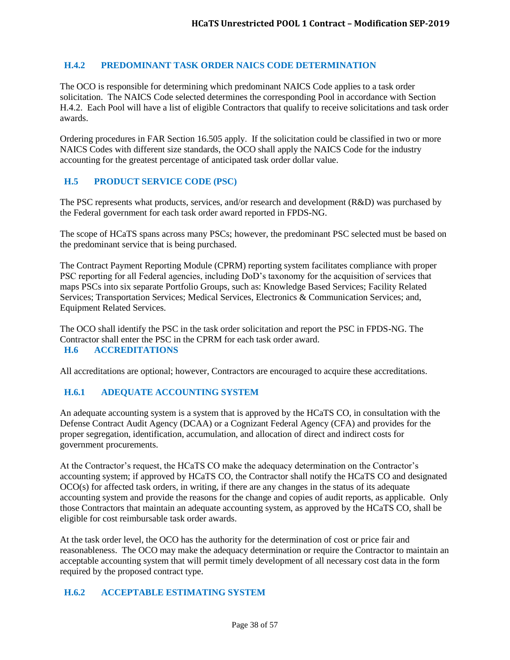## <span id="page-37-0"></span>**H.4.2 PREDOMINANT TASK ORDER NAICS CODE DETERMINATION**

The OCO is responsible for determining which predominant NAICS Code applies to a task order solicitation. The NAICS Code selected determines the corresponding Pool in accordance with Section H.4.2. Each Pool will have a list of eligible Contractors that qualify to receive solicitations and task order awards.

Ordering procedures in FAR Section 16.505 apply. If the solicitation could be classified in two or more NAICS Codes with different size standards, the OCO shall apply the NAICS Code for the industry accounting for the greatest percentage of anticipated task order dollar value.

# <span id="page-37-1"></span>**H.5 PRODUCT SERVICE CODE (PSC)**

The PSC represents what products, services, and/or research and development (R&D) was purchased by the Federal government for each task order award reported in FPDS-NG.

The scope of HCaTS spans across many PSCs; however, the predominant PSC selected must be based on the predominant service that is being purchased.

The Contract Payment Reporting Module (CPRM) reporting system facilitates compliance with proper PSC reporting for all Federal agencies, including DoD's taxonomy for the acquisition of services that maps PSCs into six separate Portfolio Groups, such as: Knowledge Based Services; Facility Related Services; Transportation Services; Medical Services, Electronics & Communication Services; and, Equipment Related Services.

<span id="page-37-2"></span>The OCO shall identify the PSC in the task order solicitation and report the PSC in FPDS-NG. The Contractor shall enter the PSC in the CPRM for each task order award. **H.6 ACCREDITATIONS**

All accreditations are optional; however, Contractors are encouraged to acquire these accreditations.

# <span id="page-37-3"></span>**H.6.1 ADEQUATE ACCOUNTING SYSTEM**

An adequate accounting system is a system that is approved by the HCaTS CO, in consultation with the Defense Contract Audit Agency (DCAA) or a Cognizant Federal Agency (CFA) and provides for the proper segregation, identification, accumulation, and allocation of direct and indirect costs for government procurements.

At the Contractor's request, the HCaTS CO make the adequacy determination on the Contractor's accounting system; if approved by HCaTS CO, the Contractor shall notify the HCaTS CO and designated OCO(s) for affected task orders, in writing, if there are any changes in the status of its adequate accounting system and provide the reasons for the change and copies of audit reports, as applicable. Only those Contractors that maintain an adequate accounting system, as approved by the HCaTS CO, shall be eligible for cost reimbursable task order awards.

At the task order level, the OCO has the authority for the determination of cost or price fair and reasonableness. The OCO may make the adequacy determination or require the Contractor to maintain an acceptable accounting system that will permit timely development of all necessary cost data in the form required by the proposed contract type.

#### <span id="page-37-4"></span>**H.6.2 ACCEPTABLE ESTIMATING SYSTEM**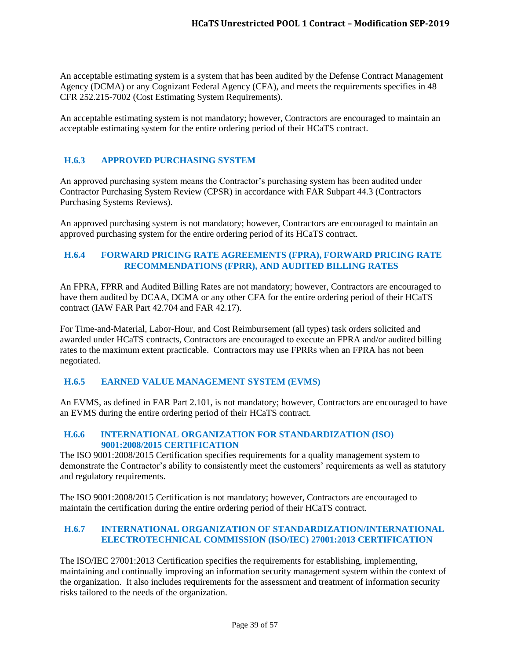An acceptable estimating system is a system that has been audited by the Defense Contract Management Agency (DCMA) or any Cognizant Federal Agency (CFA), and meets the requirements specifies in 48 CFR 252.215-7002 (Cost Estimating System Requirements).

An acceptable estimating system is not mandatory; however, Contractors are encouraged to maintain an acceptable estimating system for the entire ordering period of their HCaTS contract.

# <span id="page-38-0"></span>**H.6.3 APPROVED PURCHASING SYSTEM**

An approved purchasing system means the Contractor's purchasing system has been audited under Contractor Purchasing System Review (CPSR) in accordance with FAR Subpart 44.3 (Contractors Purchasing Systems Reviews).

An approved purchasing system is not mandatory; however, Contractors are encouraged to maintain an approved purchasing system for the entire ordering period of its HCaTS contract.

## <span id="page-38-1"></span>**H.6.4 FORWARD PRICING RATE AGREEMENTS (FPRA), FORWARD PRICING RATE RECOMMENDATIONS (FPRR), AND AUDITED BILLING RATES**

An FPRA, FPRR and Audited Billing Rates are not mandatory; however, Contractors are encouraged to have them audited by DCAA, DCMA or any other CFA for the entire ordering period of their HCaTS contract (IAW FAR Part 42.704 and FAR 42.17).

For Time-and-Material, Labor-Hour, and Cost Reimbursement (all types) task orders solicited and awarded under HCaTS contracts, Contractors are encouraged to execute an FPRA and/or audited billing rates to the maximum extent practicable. Contractors may use FPRRs when an FPRA has not been negotiated.

#### <span id="page-38-2"></span>**H.6.5 EARNED VALUE MANAGEMENT SYSTEM (EVMS)**

An EVMS, as defined in FAR Part 2.101, is not mandatory; however, Contractors are encouraged to have an EVMS during the entire ordering period of their HCaTS contract.

#### <span id="page-38-3"></span>**H.6.6 INTERNATIONAL ORGANIZATION FOR STANDARDIZATION (ISO) 9001:2008/2015 CERTIFICATION**

The ISO 9001:2008/2015 Certification specifies requirements for a quality management system to demonstrate the Contractor's ability to consistently meet the customers' requirements as well as statutory and regulatory requirements.

The ISO 9001:2008/2015 Certification is not mandatory; however, Contractors are encouraged to maintain the certification during the entire ordering period of their HCaTS contract.

## <span id="page-38-4"></span>**H.6.7 INTERNATIONAL ORGANIZATION OF STANDARDIZATION/INTERNATIONAL ELECTROTECHNICAL COMMISSION (ISO/IEC) 27001:2013 CERTIFICATION**

The ISO/IEC 27001:2013 Certification specifies the requirements for establishing, implementing, maintaining and continually improving an information security management system within the context of the organization. It also includes requirements for the assessment and treatment of information security risks tailored to the needs of the organization.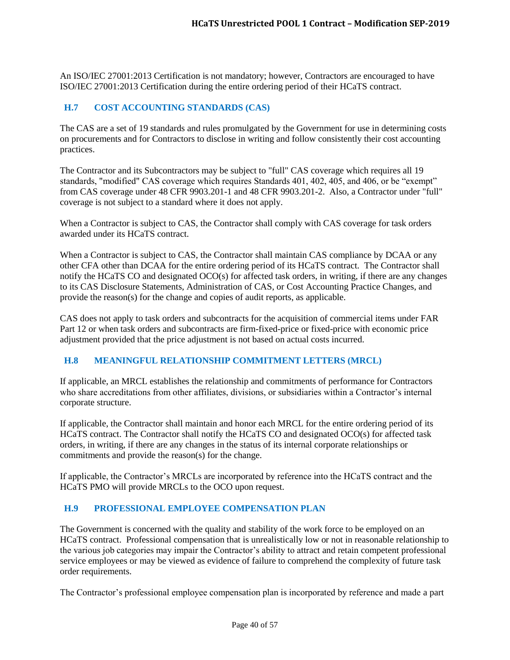An ISO/IEC 27001:2013 Certification is not mandatory; however, Contractors are encouraged to have ISO/IEC 27001:2013 Certification during the entire ordering period of their HCaTS contract.

## <span id="page-39-0"></span>**H.7 COST ACCOUNTING STANDARDS (CAS)**

The CAS are a set of 19 standards and rules promulgated by the Government for use in determining costs on procurements and for Contractors to disclose in writing and follow consistently their cost accounting practices.

The Contractor and its Subcontractors may be subject to "full" CAS coverage which requires all 19 standards, "modified" CAS coverage which requires Standards 401, 402, 405, and 406, or be "exempt" from CAS coverage under 48 CFR 9903.201-1 and 48 CFR 9903.201-2. Also, a Contractor under "full" coverage is not subject to a standard where it does not apply.

When a Contractor is subject to CAS, the Contractor shall comply with CAS coverage for task orders awarded under its HCaTS contract.

When a Contractor is subject to CAS, the Contractor shall maintain CAS compliance by DCAA or any other CFA other than DCAA for the entire ordering period of its HCaTS contract. The Contractor shall notify the HCaTS CO and designated OCO(s) for affected task orders, in writing, if there are any changes to its CAS Disclosure Statements, Administration of CAS, or Cost Accounting Practice Changes, and provide the reason(s) for the change and copies of audit reports, as applicable.

CAS does not apply to task orders and subcontracts for the acquisition of commercial items under FAR Part 12 or when task orders and subcontracts are firm-fixed-price or fixed-price with economic price adjustment provided that the price adjustment is not based on actual costs incurred.

#### <span id="page-39-1"></span>**H.8 MEANINGFUL RELATIONSHIP COMMITMENT LETTERS (MRCL)**

If applicable, an MRCL establishes the relationship and commitments of performance for Contractors who share accreditations from other affiliates, divisions, or subsidiaries within a Contractor's internal corporate structure.

If applicable, the Contractor shall maintain and honor each MRCL for the entire ordering period of its HCaTS contract. The Contractor shall notify the HCaTS CO and designated OCO(s) for affected task orders, in writing, if there are any changes in the status of its internal corporate relationships or commitments and provide the reason(s) for the change.

If applicable, the Contractor's MRCLs are incorporated by reference into the HCaTS contract and the HCaTS PMO will provide MRCLs to the OCO upon request.

#### <span id="page-39-2"></span>**H.9 PROFESSIONAL EMPLOYEE COMPENSATION PLAN**

The Government is concerned with the quality and stability of the work force to be employed on an HCaTS contract. Professional compensation that is unrealistically low or not in reasonable relationship to the various job categories may impair the Contractor's ability to attract and retain competent professional service employees or may be viewed as evidence of failure to comprehend the complexity of future task order requirements.

The Contractor's professional employee compensation plan is incorporated by reference and made a part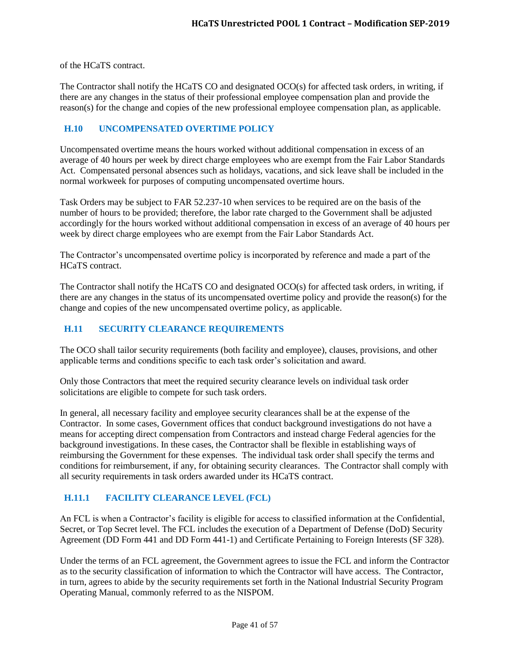of the HCaTS contract.

The Contractor shall notify the HCaTS CO and designated OCO(s) for affected task orders, in writing, if there are any changes in the status of their professional employee compensation plan and provide the reason(s) for the change and copies of the new professional employee compensation plan, as applicable.

# <span id="page-40-0"></span>**H.10 UNCOMPENSATED OVERTIME POLICY**

Uncompensated overtime means the hours worked without additional compensation in excess of an average of 40 hours per week by direct charge employees who are exempt from the Fair Labor Standards Act. Compensated personal absences such as holidays, vacations, and sick leave shall be included in the normal workweek for purposes of computing uncompensated overtime hours.

Task Orders may be subject to FAR 52.237-10 when services to be required are on the basis of the number of hours to be provided; therefore, the labor rate charged to the Government shall be adjusted accordingly for the hours worked without additional compensation in excess of an average of 40 hours per week by direct charge employees who are exempt from the Fair Labor Standards Act.

The Contractor's uncompensated overtime policy is incorporated by reference and made a part of the HCaTS contract.

The Contractor shall notify the HCaTS CO and designated OCO(s) for affected task orders, in writing, if there are any changes in the status of its uncompensated overtime policy and provide the reason(s) for the change and copies of the new uncompensated overtime policy, as applicable.

## <span id="page-40-1"></span>**H.11 SECURITY CLEARANCE REQUIREMENTS**

The OCO shall tailor security requirements (both facility and employee), clauses, provisions, and other applicable terms and conditions specific to each task order's solicitation and award.

Only those Contractors that meet the required security clearance levels on individual task order solicitations are eligible to compete for such task orders.

In general, all necessary facility and employee security clearances shall be at the expense of the Contractor. In some cases, Government offices that conduct background investigations do not have a means for accepting direct compensation from Contractors and instead charge Federal agencies for the background investigations. In these cases, the Contractor shall be flexible in establishing ways of reimbursing the Government for these expenses. The individual task order shall specify the terms and conditions for reimbursement, if any, for obtaining security clearances. The Contractor shall comply with all security requirements in task orders awarded under its HCaTS contract.

# <span id="page-40-2"></span>**H.11.1 FACILITY CLEARANCE LEVEL (FCL)**

An FCL is when a Contractor's facility is eligible for access to classified information at the Confidential, Secret, or Top Secret level. The FCL includes the execution of a Department of Defense (DoD) Security Agreement (DD Form 441 and DD Form 441-1) and Certificate Pertaining to Foreign Interests (SF 328).

Under the terms of an FCL agreement, the Government agrees to issue the FCL and inform the Contractor as to the security classification of information to which the Contractor will have access. The Contractor, in turn, agrees to abide by the security requirements set forth in the National Industrial Security Program Operating Manual, commonly referred to as the NISPOM.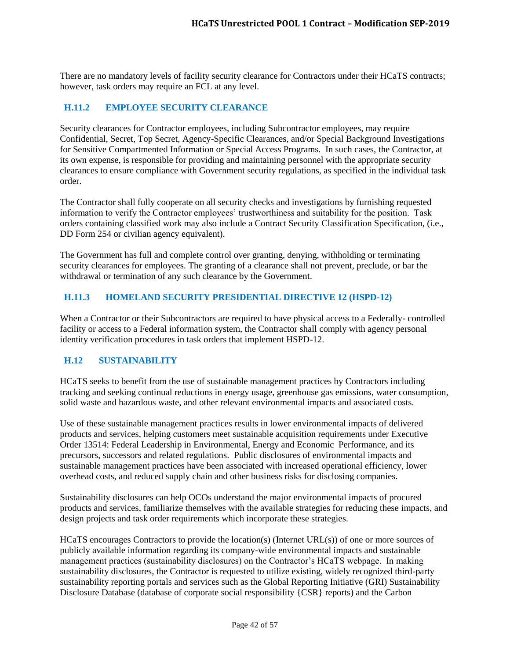There are no mandatory levels of facility security clearance for Contractors under their HCaTS contracts; however, task orders may require an FCL at any level.

# <span id="page-41-0"></span>**H.11.2 EMPLOYEE SECURITY CLEARANCE**

Security clearances for Contractor employees, including Subcontractor employees, may require Confidential, Secret, Top Secret, Agency-Specific Clearances, and/or Special Background Investigations for Sensitive Compartmented Information or Special Access Programs. In such cases, the Contractor, at its own expense, is responsible for providing and maintaining personnel with the appropriate security clearances to ensure compliance with Government security regulations, as specified in the individual task order.

The Contractor shall fully cooperate on all security checks and investigations by furnishing requested information to verify the Contractor employees' trustworthiness and suitability for the position. Task orders containing classified work may also include a Contract Security Classification Specification, (i.e., DD Form 254 or civilian agency equivalent).

The Government has full and complete control over granting, denying, withholding or terminating security clearances for employees. The granting of a clearance shall not prevent, preclude, or bar the withdrawal or termination of any such clearance by the Government.

# <span id="page-41-1"></span>**H.11.3 HOMELAND SECURITY PRESIDENTIAL DIRECTIVE 12 (HSPD-12)**

When a Contractor or their Subcontractors are required to have physical access to a Federally- controlled facility or access to a Federal information system, the Contractor shall comply with agency personal identity verification procedures in task orders that implement HSPD-12.

#### <span id="page-41-2"></span>**H.12 SUSTAINABILITY**

HCaTS seeks to benefit from the use of sustainable management practices by Contractors including tracking and seeking continual reductions in energy usage, greenhouse gas emissions, water consumption, solid waste and hazardous waste, and other relevant environmental impacts and associated costs.

Use of these sustainable management practices results in lower environmental impacts of delivered products and services, helping customers meet sustainable acquisition requirements under Executive Order 13514: Federal Leadership in Environmental, Energy and Economic Performance, and its precursors, successors and related regulations. Public disclosures of environmental impacts and sustainable management practices have been associated with increased operational efficiency, lower overhead costs, and reduced supply chain and other business risks for disclosing companies.

Sustainability disclosures can help OCOs understand the major environmental impacts of procured products and services, familiarize themselves with the available strategies for reducing these impacts, and design projects and task order requirements which incorporate these strategies.

HCaTS encourages Contractors to provide the location(s) (Internet URL(s)) of one or more sources of publicly available information regarding its company-wide environmental impacts and sustainable management practices (sustainability disclosures) on the Contractor's HCaTS webpage. In making sustainability disclosures, the Contractor is requested to utilize existing, widely recognized third-party sustainability reporting portals and services such as the Global Reporting Initiative (GRI) Sustainability Disclosure Database (database of corporate social responsibility {CSR} reports) and the Carbon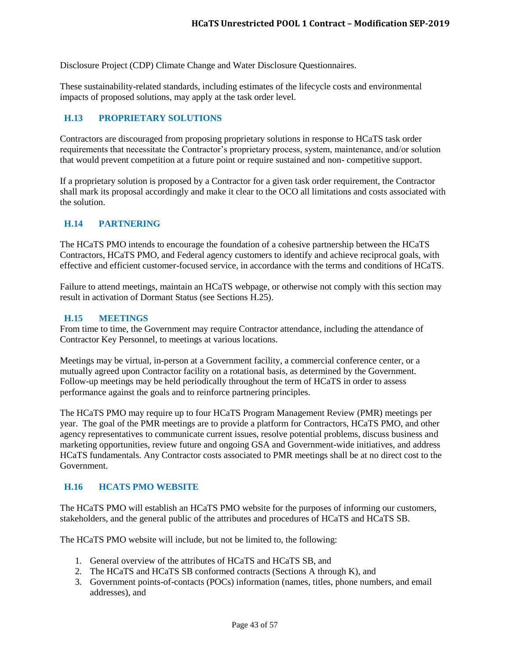Disclosure Project (CDP) Climate Change and Water Disclosure Questionnaires.

These sustainability-related standards, including estimates of the lifecycle costs and environmental impacts of proposed solutions, may apply at the task order level.

#### <span id="page-42-0"></span>**H.13 PROPRIETARY SOLUTIONS**

Contractors are discouraged from proposing proprietary solutions in response to HCaTS task order requirements that necessitate the Contractor's proprietary process, system, maintenance, and/or solution that would prevent competition at a future point or require sustained and non- competitive support.

If a proprietary solution is proposed by a Contractor for a given task order requirement, the Contractor shall mark its proposal accordingly and make it clear to the OCO all limitations and costs associated with the solution.

#### <span id="page-42-1"></span>**H.14 PARTNERING**

The HCaTS PMO intends to encourage the foundation of a cohesive partnership between the HCaTS Contractors, HCaTS PMO, and Federal agency customers to identify and achieve reciprocal goals, with effective and efficient customer-focused service, in accordance with the terms and conditions of HCaTS.

Failure to attend meetings, maintain an HCaTS webpage, or otherwise not comply with this section may result in activation of Dormant Status (see Sections H.25).

#### <span id="page-42-2"></span>**H.15 MEETINGS**

From time to time, the Government may require Contractor attendance, including the attendance of Contractor Key Personnel, to meetings at various locations.

Meetings may be virtual, in-person at a Government facility, a commercial conference center, or a mutually agreed upon Contractor facility on a rotational basis, as determined by the Government. Follow-up meetings may be held periodically throughout the term of HCaTS in order to assess performance against the goals and to reinforce partnering principles.

The HCaTS PMO may require up to four HCaTS Program Management Review (PMR) meetings per year. The goal of the PMR meetings are to provide a platform for Contractors, HCaTS PMO, and other agency representatives to communicate current issues, resolve potential problems, discuss business and marketing opportunities, review future and ongoing GSA and Government-wide initiatives, and address HCaTS fundamentals. Any Contractor costs associated to PMR meetings shall be at no direct cost to the Government.

#### <span id="page-42-3"></span>**H.16 HCATS PMO WEBSITE**

The HCaTS PMO will establish an HCaTS PMO website for the purposes of informing our customers, stakeholders, and the general public of the attributes and procedures of HCaTS and HCaTS SB.

The HCaTS PMO website will include, but not be limited to, the following:

- 1. General overview of the attributes of HCaTS and HCaTS SB, and
- 2. The HCaTS and HCaTS SB conformed contracts (Sections A through K), and
- 3. Government points-of-contacts (POCs) information (names, titles, phone numbers, and email addresses), and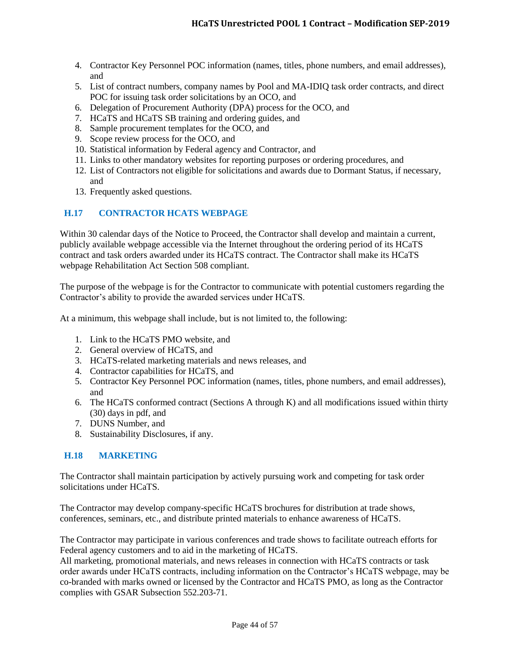- 4. Contractor Key Personnel POC information (names, titles, phone numbers, and email addresses), and
- 5. List of contract numbers, company names by Pool and MA-IDIQ task order contracts, and direct POC for issuing task order solicitations by an OCO, and
- 6. Delegation of Procurement Authority (DPA) process for the OCO, and
- 7. HCaTS and HCaTS SB training and ordering guides, and
- 8. Sample procurement templates for the OCO, and
- 9. Scope review process for the OCO, and
- 10. Statistical information by Federal agency and Contractor, and
- 11. Links to other mandatory websites for reporting purposes or ordering procedures, and
- 12. List of Contractors not eligible for solicitations and awards due to Dormant Status, if necessary, and
- 13. Frequently asked questions.

# <span id="page-43-0"></span>**H.17 CONTRACTOR HCATS WEBPAGE**

Within 30 calendar days of the Notice to Proceed, the Contractor shall develop and maintain a current, publicly available webpage accessible via the Internet throughout the ordering period of its HCaTS contract and task orders awarded under its HCaTS contract. The Contractor shall make its HCaTS webpage Rehabilitation Act Section 508 compliant.

The purpose of the webpage is for the Contractor to communicate with potential customers regarding the Contractor's ability to provide the awarded services under HCaTS.

At a minimum, this webpage shall include, but is not limited to, the following:

- 1. Link to the HCaTS PMO website, and
- 2. General overview of HCaTS, and
- 3. HCaTS-related marketing materials and news releases, and
- 4. Contractor capabilities for HCaTS, and
- 5. Contractor Key Personnel POC information (names, titles, phone numbers, and email addresses), and
- 6. The HCaTS conformed contract (Sections A through K) and all modifications issued within thirty (30) days in pdf, and
- 7. DUNS Number, and
- 8. Sustainability Disclosures, if any.

# <span id="page-43-1"></span>**H.18 MARKETING**

The Contractor shall maintain participation by actively pursuing work and competing for task order solicitations under HCaTS.

The Contractor may develop company-specific HCaTS brochures for distribution at trade shows, conferences, seminars, etc., and distribute printed materials to enhance awareness of HCaTS.

The Contractor may participate in various conferences and trade shows to facilitate outreach efforts for Federal agency customers and to aid in the marketing of HCaTS.

All marketing, promotional materials, and news releases in connection with HCaTS contracts or task order awards under HCaTS contracts, including information on the Contractor's HCaTS webpage, may be co-branded with marks owned or licensed by the Contractor and HCaTS PMO, as long as the Contractor complies with GSAR Subsection 552.203-71.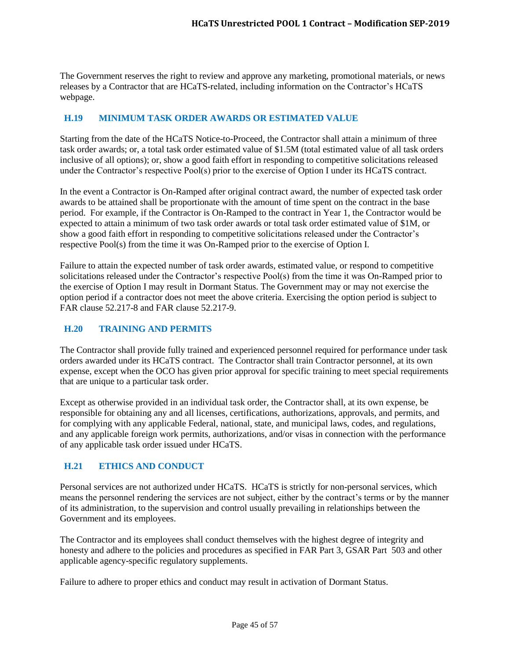The Government reserves the right to review and approve any marketing, promotional materials, or news releases by a Contractor that are HCaTS-related, including information on the Contractor's HCaTS webpage.

# <span id="page-44-0"></span>**H.19 MINIMUM TASK ORDER AWARDS OR ESTIMATED VALUE**

Starting from the date of the HCaTS Notice-to-Proceed, the Contractor shall attain a minimum of three task order awards; or, a total task order estimated value of \$1.5M (total estimated value of all task orders inclusive of all options); or, show a good faith effort in responding to competitive solicitations released under the Contractor's respective Pool(s) prior to the exercise of Option I under its HCaTS contract.

In the event a Contractor is On-Ramped after original contract award, the number of expected task order awards to be attained shall be proportionate with the amount of time spent on the contract in the base period. For example, if the Contractor is On-Ramped to the contract in Year 1, the Contractor would be expected to attain a minimum of two task order awards or total task order estimated value of \$1M, or show a good faith effort in responding to competitive solicitations released under the Contractor's respective Pool(s) from the time it was On-Ramped prior to the exercise of Option I.

Failure to attain the expected number of task order awards, estimated value, or respond to competitive solicitations released under the Contractor's respective Pool(s) from the time it was On-Ramped prior to the exercise of Option I may result in Dormant Status. The Government may or may not exercise the option period if a contractor does not meet the above criteria. Exercising the option period is subject to FAR clause 52.217-8 and FAR clause 52.217-9.

#### <span id="page-44-1"></span>**H.20 TRAINING AND PERMITS**

The Contractor shall provide fully trained and experienced personnel required for performance under task orders awarded under its HCaTS contract. The Contractor shall train Contractor personnel, at its own expense, except when the OCO has given prior approval for specific training to meet special requirements that are unique to a particular task order.

Except as otherwise provided in an individual task order, the Contractor shall, at its own expense, be responsible for obtaining any and all licenses, certifications, authorizations, approvals, and permits, and for complying with any applicable Federal, national, state, and municipal laws, codes, and regulations, and any applicable foreign work permits, authorizations, and/or visas in connection with the performance of any applicable task order issued under HCaTS.

# <span id="page-44-2"></span>**H.21 ETHICS AND CONDUCT**

Personal services are not authorized under HCaTS. HCaTS is strictly for non-personal services, which means the personnel rendering the services are not subject, either by the contract's terms or by the manner of its administration, to the supervision and control usually prevailing in relationships between the Government and its employees.

The Contractor and its employees shall conduct themselves with the highest degree of integrity and honesty and adhere to the policies and procedures as specified in FAR Part 3, GSAR Part 503 and other applicable agency-specific regulatory supplements.

Failure to adhere to proper ethics and conduct may result in activation of Dormant Status.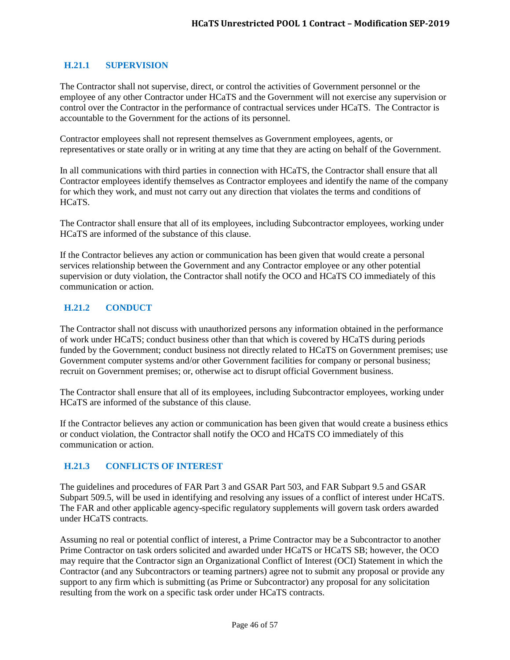## <span id="page-45-0"></span>**H.21.1 SUPERVISION**

The Contractor shall not supervise, direct, or control the activities of Government personnel or the employee of any other Contractor under HCaTS and the Government will not exercise any supervision or control over the Contractor in the performance of contractual services under HCaTS. The Contractor is accountable to the Government for the actions of its personnel.

Contractor employees shall not represent themselves as Government employees, agents, or representatives or state orally or in writing at any time that they are acting on behalf of the Government.

In all communications with third parties in connection with HCaTS, the Contractor shall ensure that all Contractor employees identify themselves as Contractor employees and identify the name of the company for which they work, and must not carry out any direction that violates the terms and conditions of HCaTS.

The Contractor shall ensure that all of its employees, including Subcontractor employees, working under HCaTS are informed of the substance of this clause.

If the Contractor believes any action or communication has been given that would create a personal services relationship between the Government and any Contractor employee or any other potential supervision or duty violation, the Contractor shall notify the OCO and HCaTS CO immediately of this communication or action.

# <span id="page-45-1"></span>**H.21.2 CONDUCT**

The Contractor shall not discuss with unauthorized persons any information obtained in the performance of work under HCaTS; conduct business other than that which is covered by HCaTS during periods funded by the Government; conduct business not directly related to HCaTS on Government premises; use Government computer systems and/or other Government facilities for company or personal business; recruit on Government premises; or, otherwise act to disrupt official Government business.

The Contractor shall ensure that all of its employees, including Subcontractor employees, working under HCaTS are informed of the substance of this clause.

If the Contractor believes any action or communication has been given that would create a business ethics or conduct violation, the Contractor shall notify the OCO and HCaTS CO immediately of this communication or action.

#### <span id="page-45-2"></span>**H.21.3 CONFLICTS OF INTEREST**

The guidelines and procedures of FAR Part 3 and GSAR Part 503, and FAR Subpart 9.5 and GSAR Subpart 509.5, will be used in identifying and resolving any issues of a conflict of interest under HCaTS. The FAR and other applicable agency-specific regulatory supplements will govern task orders awarded under HCaTS contracts.

Assuming no real or potential conflict of interest, a Prime Contractor may be a Subcontractor to another Prime Contractor on task orders solicited and awarded under HCaTS or HCaTS SB; however, the OCO may require that the Contractor sign an Organizational Conflict of Interest (OCI) Statement in which the Contractor (and any Subcontractors or teaming partners) agree not to submit any proposal or provide any support to any firm which is submitting (as Prime or Subcontractor) any proposal for any solicitation resulting from the work on a specific task order under HCaTS contracts.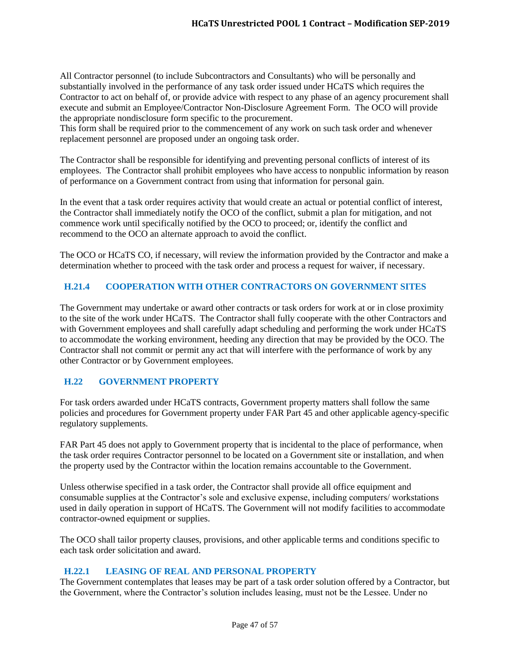All Contractor personnel (to include Subcontractors and Consultants) who will be personally and substantially involved in the performance of any task order issued under HCaTS which requires the Contractor to act on behalf of, or provide advice with respect to any phase of an agency procurement shall execute and submit an Employee/Contractor Non-Disclosure Agreement Form. The OCO will provide the appropriate nondisclosure form specific to the procurement.

This form shall be required prior to the commencement of any work on such task order and whenever replacement personnel are proposed under an ongoing task order.

The Contractor shall be responsible for identifying and preventing personal conflicts of interest of its employees. The Contractor shall prohibit employees who have access to nonpublic information by reason of performance on a Government contract from using that information for personal gain.

In the event that a task order requires activity that would create an actual or potential conflict of interest, the Contractor shall immediately notify the OCO of the conflict, submit a plan for mitigation, and not commence work until specifically notified by the OCO to proceed; or, identify the conflict and recommend to the OCO an alternate approach to avoid the conflict.

The OCO or HCaTS CO, if necessary, will review the information provided by the Contractor and make a determination whether to proceed with the task order and process a request for waiver, if necessary.

# <span id="page-46-0"></span>**H.21.4 COOPERATION WITH OTHER CONTRACTORS ON GOVERNMENT SITES**

The Government may undertake or award other contracts or task orders for work at or in close proximity to the site of the work under HCaTS. The Contractor shall fully cooperate with the other Contractors and with Government employees and shall carefully adapt scheduling and performing the work under HCaTS to accommodate the working environment, heeding any direction that may be provided by the OCO. The Contractor shall not commit or permit any act that will interfere with the performance of work by any other Contractor or by Government employees.

# <span id="page-46-1"></span>**H.22 GOVERNMENT PROPERTY**

For task orders awarded under HCaTS contracts, Government property matters shall follow the same policies and procedures for Government property under FAR Part 45 and other applicable agency-specific regulatory supplements.

FAR Part 45 does not apply to Government property that is incidental to the place of performance, when the task order requires Contractor personnel to be located on a Government site or installation, and when the property used by the Contractor within the location remains accountable to the Government.

Unless otherwise specified in a task order, the Contractor shall provide all office equipment and consumable supplies at the Contractor's sole and exclusive expense, including computers/ workstations used in daily operation in support of HCaTS. The Government will not modify facilities to accommodate contractor-owned equipment or supplies.

The OCO shall tailor property clauses, provisions, and other applicable terms and conditions specific to each task order solicitation and award.

# <span id="page-46-2"></span>**H.22.1 LEASING OF REAL AND PERSONAL PROPERTY**

The Government contemplates that leases may be part of a task order solution offered by a Contractor, but the Government, where the Contractor's solution includes leasing, must not be the Lessee. Under no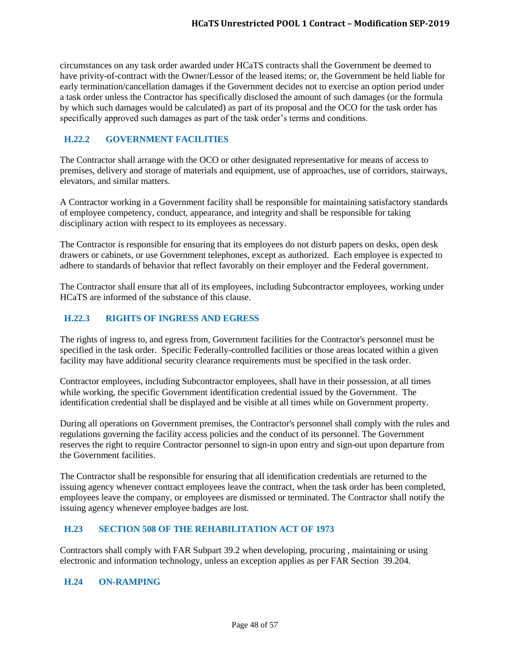circumstances on any task order awarded under HCaTS contracts shall the Government be deemed to have privity-of-contract with the Owner/Lessor of the leased items; or, the Government be held liable for early termination/cancellation damages if the Government decides not to exercise an option period under a task order unless the Contractor has specifically disclosed the amount of such damages (or the formula by which such damages would be calculated) as part of its proposal and the OCO for the task order has specifically approved such damages as part of the task order's terms and conditions.

# <span id="page-47-0"></span>**H.22.2 GOVERNMENT FACILITIES**

The Contractor shall arrange with the OCO or other designated representative for means of access to premises, delivery and storage of materials and equipment, use of approaches, use of corridors, stairways, elevators, and similar matters.

A Contractor working in a Government facility shall be responsible for maintaining satisfactory standards of employee competency, conduct, appearance, and integrity and shall be responsible for taking disciplinary action with respect to its employees as necessary.

The Contractor is responsible for ensuring that its employees do not disturb papers on desks, open desk drawers or cabinets, or use Government telephones, except as authorized. Each employee is expected to adhere to standards of behavior that reflect favorably on their employer and the Federal government.

The Contractor shall ensure that all of its employees, including Subcontractor employees, working under HCaTS are informed of the substance of this clause.

# <span id="page-47-1"></span>**H.22.3 RIGHTS OF INGRESS AND EGRESS**

The rights of ingress to, and egress from, Government facilities for the Contractor's personnel must be specified in the task order. Specific Federally-controlled facilities or those areas located within a given facility may have additional security clearance requirements must be specified in the task order.

Contractor employees, including Subcontractor employees, shall have in their possession, at all times while working, the specific Government identification credential issued by the Government. The identification credential shall be displayed and be visible at all times while on Government property.

During all operations on Government premises, the Contractor's personnel shall comply with the rules and regulations governing the facility access policies and the conduct of its personnel. The Government reserves the right to require Contractor personnel to sign-in upon entry and sign-out upon departure from the Government facilities.

The Contractor shall be responsible for ensuring that all identification credentials are returned to the issuing agency whenever contract employees leave the contract, when the task order has been completed, employees leave the company, or employees are dismissed or terminated. The Contractor shall notify the issuing agency whenever employee badges are lost.

# <span id="page-47-2"></span>**H.23 SECTION 508 OF THE REHABILITATION ACT OF 1973**

Contractors shall comply with FAR Subpart 39.2 when developing, procuring , maintaining or using electronic and information technology, unless an exception applies as per FAR Section 39.204.

# <span id="page-47-3"></span>**H.24 ON-RAMPING**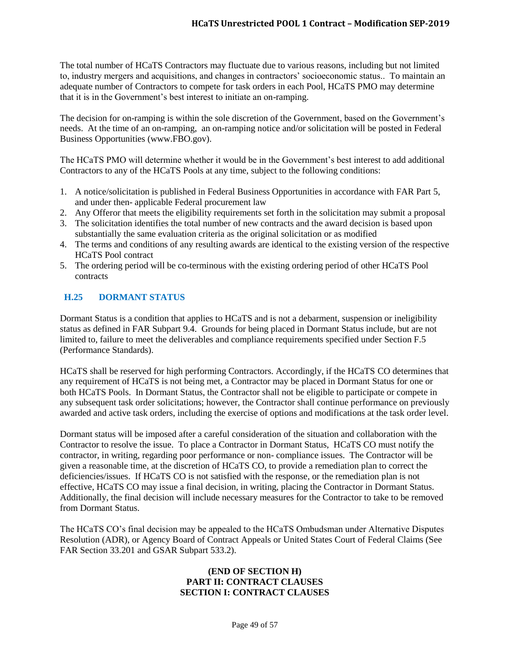The total number of HCaTS Contractors may fluctuate due to various reasons, including but not limited to, industry mergers and acquisitions, and changes in contractors' socioeconomic status.. To maintain an adequate number of Contractors to compete for task orders in each Pool, HCaTS PMO may determine that it is in the Government's best interest to initiate an on-ramping.

The decision for on-ramping is within the sole discretion of the Government, based on the Government's needs. At the time of an on-ramping, an on-ramping notice and/or solicitation will be posted in Federal Business Opportunities (www.FBO.gov).

The HCaTS PMO will determine whether it would be in the Government's best interest to add additional Contractors to any of the HCaTS Pools at any time, subject to the following conditions:

- 1. A notice/solicitation is published in Federal Business Opportunities in accordance with FAR Part 5, and under then- applicable Federal procurement law
- 2. Any Offeror that meets the eligibility requirements set forth in the solicitation may submit a proposal
- 3. The solicitation identifies the total number of new contracts and the award decision is based upon substantially the same evaluation criteria as the original solicitation or as modified
- 4. The terms and conditions of any resulting awards are identical to the existing version of the respective HCaTS Pool contract
- 5. The ordering period will be co-terminous with the existing ordering period of other HCaTS Pool contracts

# <span id="page-48-0"></span>**H.25 DORMANT STATUS**

Dormant Status is a condition that applies to HCaTS and is not a debarment, suspension or ineligibility status as defined in FAR Subpart 9.4. Grounds for being placed in Dormant Status include, but are not limited to, failure to meet the deliverables and compliance requirements specified under Section F.5 (Performance Standards).

HCaTS shall be reserved for high performing Contractors. Accordingly, if the HCaTS CO determines that any requirement of HCaTS is not being met, a Contractor may be placed in Dormant Status for one or both HCaTS Pools. In Dormant Status, the Contractor shall not be eligible to participate or compete in any subsequent task order solicitations; however, the Contractor shall continue performance on previously awarded and active task orders, including the exercise of options and modifications at the task order level.

Dormant status will be imposed after a careful consideration of the situation and collaboration with the Contractor to resolve the issue. To place a Contractor in Dormant Status, HCaTS CO must notify the contractor, in writing, regarding poor performance or non- compliance issues. The Contractor will be given a reasonable time, at the discretion of HCaTS CO, to provide a remediation plan to correct the deficiencies/issues. If HCaTS CO is not satisfied with the response, or the remediation plan is not effective, HCaTS CO may issue a final decision, in writing, placing the Contractor in Dormant Status. Additionally, the final decision will include necessary measures for the Contractor to take to be removed from Dormant Status.

The HCaTS CO's final decision may be appealed to the HCaTS Ombudsman under Alternative Disputes Resolution (ADR), or Agency Board of Contract Appeals or United States Court of Federal Claims (See FAR Section 33.201 and GSAR Subpart 533.2).

#### **(END OF SECTION H) PART II: CONTRACT CLAUSES SECTION I: CONTRACT CLAUSES**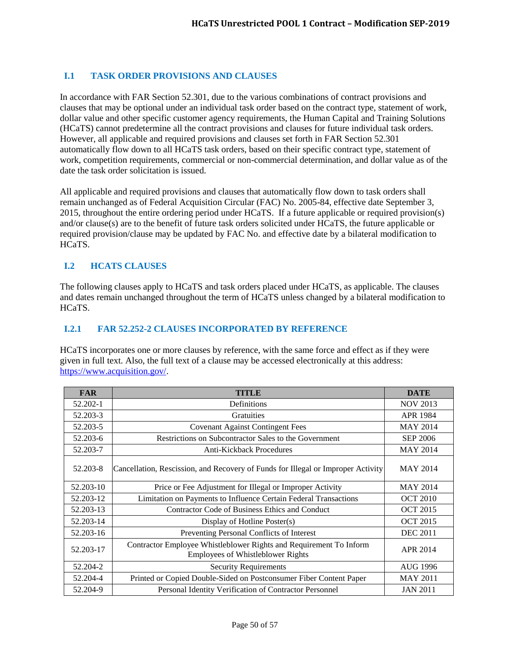# <span id="page-49-0"></span>**I.1 TASK ORDER PROVISIONS AND CLAUSES**

In accordance with FAR Section 52.301, due to the various combinations of contract provisions and clauses that may be optional under an individual task order based on the contract type, statement of work, dollar value and other specific customer agency requirements, the Human Capital and Training Solutions (HCaTS) cannot predetermine all the contract provisions and clauses for future individual task orders. However, all applicable and required provisions and clauses set forth in FAR Section 52.301 automatically flow down to all HCaTS task orders, based on their specific contract type, statement of work, competition requirements, commercial or non-commercial determination, and dollar value as of the date the task order solicitation is issued.

All applicable and required provisions and clauses that automatically flow down to task orders shall remain unchanged as of Federal Acquisition Circular (FAC) No. 2005-84, effective date September 3, 2015, throughout the entire ordering period under HCaTS. If a future applicable or required provision(s) and/or clause(s) are to the benefit of future task orders solicited under HCaTS, the future applicable or required provision/clause may be updated by FAC No. and effective date by a bilateral modification to HCaTS.

# <span id="page-49-1"></span>**I.2 HCATS CLAUSES**

The following clauses apply to HCaTS and task orders placed under HCaTS, as applicable. The clauses and dates remain unchanged throughout the term of HCaTS unless changed by a bilateral modification to HCaTS.

#### <span id="page-49-2"></span>**I.2.1 FAR 52.252-2 CLAUSES INCORPORATED BY REFERENCE**

HCaTS incorporates one or more clauses by reference, with the same force and effect as if they were given in full text. Also, the full text of a clause may be accessed electronically at this address: [https://www.acquisition.gov/.](https://www.acquisition.gov/)

| <b>FAR</b> | <b>TITLE</b>                                                                                            | <b>DATE</b>     |
|------------|---------------------------------------------------------------------------------------------------------|-----------------|
| 52.202-1   | Definitions                                                                                             | <b>NOV 2013</b> |
| 52.203-3   | <b>Gratuities</b>                                                                                       | <b>APR 1984</b> |
| 52.203-5   | <b>Covenant Against Contingent Fees</b>                                                                 | <b>MAY 2014</b> |
| 52.203-6   | Restrictions on Subcontractor Sales to the Government                                                   | <b>SEP 2006</b> |
| 52.203-7   | Anti-Kickback Procedures                                                                                | <b>MAY 2014</b> |
| 52.203-8   | Cancellation, Rescission, and Recovery of Funds for Illegal or Improper Activity                        | <b>MAY 2014</b> |
| 52.203-10  | Price or Fee Adjustment for Illegal or Improper Activity                                                | <b>MAY 2014</b> |
| 52.203-12  | Limitation on Payments to Influence Certain Federal Transactions                                        | <b>OCT 2010</b> |
| 52.203-13  | Contractor Code of Business Ethics and Conduct                                                          | <b>OCT 2015</b> |
| 52.203-14  | Display of Hotline Poster(s)                                                                            | <b>OCT 2015</b> |
| 52.203-16  | Preventing Personal Conflicts of Interest                                                               | <b>DEC 2011</b> |
| 52.203-17  | Contractor Employee Whistleblower Rights and Requirement To Inform<br>Employees of Whistleblower Rights | APR 2014        |
| 52.204-2   | <b>Security Requirements</b>                                                                            | AUG 1996        |
| 52.204-4   | Printed or Copied Double-Sided on Postconsumer Fiber Content Paper                                      | <b>MAY 2011</b> |
| 52.204-9   | Personal Identity Verification of Contractor Personnel                                                  | <b>JAN 2011</b> |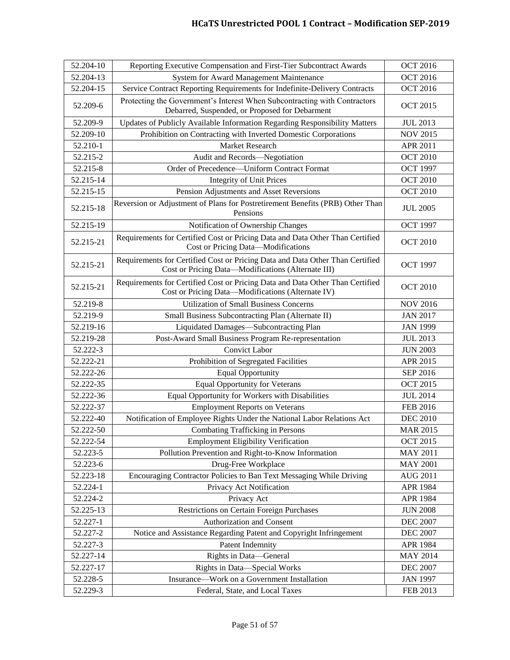| 52.204-10 | Reporting Executive Compensation and First-Tier Subcontract Awards                                                                  | <b>OCT 2016</b> |
|-----------|-------------------------------------------------------------------------------------------------------------------------------------|-----------------|
| 52.204-13 | System for Award Management Maintenance                                                                                             | <b>OCT 2016</b> |
| 52.204-15 | Service Contract Reporting Requirements for Indefinite-Delivery Contracts                                                           | <b>OCT 2016</b> |
| 52.209-6  | Protecting the Government's Interest When Subcontracting with Contractors<br>Debarred, Suspended, or Proposed for Debarment         | <b>OCT 2015</b> |
| 52.209-9  | Updates of Publicly Available Information Regarding Responsibility Matters                                                          | <b>JUL 2013</b> |
| 52.209-10 | Prohibition on Contracting with Inverted Domestic Corporations                                                                      | <b>NOV 2015</b> |
| 52.210-1  | Market Research                                                                                                                     | APR 2011        |
| 52.215-2  | Audit and Records-Negotiation                                                                                                       | <b>OCT 2010</b> |
| 52.215-8  | Order of Precedence—Uniform Contract Format                                                                                         | <b>OCT 1997</b> |
| 52.215-14 | <b>Integrity of Unit Prices</b>                                                                                                     | <b>OCT 2010</b> |
| 52.215-15 | Pension Adjustments and Asset Reversions                                                                                            | <b>OCT 2010</b> |
| 52.215-18 | Reversion or Adjustment of Plans for Postretirement Benefits (PRB) Other Than<br>Pensions                                           | <b>JUL 2005</b> |
| 52.215-19 | Notification of Ownership Changes                                                                                                   | <b>OCT 1997</b> |
| 52.215-21 | Requirements for Certified Cost or Pricing Data and Data Other Than Certified<br>Cost or Pricing Data-Modifications                 | <b>OCT 2010</b> |
| 52.215-21 | Requirements for Certified Cost or Pricing Data and Data Other Than Certified<br>Cost or Pricing Data-Modifications (Alternate III) | <b>OCT 1997</b> |
| 52.215-21 | Requirements for Certified Cost or Pricing Data and Data Other Than Certified<br>Cost or Pricing Data-Modifications (Alternate IV)  | <b>OCT 2010</b> |
| 52.219-8  | <b>Utilization of Small Business Concerns</b>                                                                                       | <b>NOV 2016</b> |
| 52.219-9  | Small Business Subcontracting Plan (Alternate II)                                                                                   | <b>JAN 2017</b> |
| 52.219-16 | Liquidated Damages-Subcontracting Plan                                                                                              | <b>JAN 1999</b> |
| 52.219-28 | Post-Award Small Business Program Re-representation                                                                                 | <b>JUL 2013</b> |
| 52.222-3  | <b>Convict Labor</b>                                                                                                                | <b>JUN 2003</b> |
| 52.222-21 | Prohibition of Segregated Facilities                                                                                                | APR 2015        |
| 52.222-26 | <b>Equal Opportunity</b>                                                                                                            | SEP 2016        |
| 52.222-35 | <b>Equal Opportunity for Veterans</b>                                                                                               | <b>OCT 2015</b> |
| 52.222-36 | Equal Opportunity for Workers with Disabilities                                                                                     | <b>JUL 2014</b> |
| 52.222-37 | <b>Employment Reports on Veterans</b>                                                                                               | FEB 2016        |
| 52.222-40 | Notification of Employee Rights Under the National Labor Relations Act                                                              | <b>DEC 2010</b> |
| 52.222-50 | <b>Combating Trafficking in Persons</b>                                                                                             | <b>MAR 2015</b> |
| 52.222-54 | <b>Employment Eligibility Verification</b>                                                                                          | <b>OCT 2015</b> |
| 52.223-5  | Pollution Prevention and Right-to-Know Information                                                                                  | <b>MAY 2011</b> |
| 52.223-6  | Drug-Free Workplace                                                                                                                 | <b>MAY 2001</b> |
| 52.223-18 | Encouraging Contractor Policies to Ban Text Messaging While Driving                                                                 | <b>AUG 2011</b> |
| 52.224-1  | Privacy Act Notification                                                                                                            | APR 1984        |
| 52.224-2  | Privacy Act                                                                                                                         | APR 1984        |
| 52.225-13 | Restrictions on Certain Foreign Purchases                                                                                           | <b>JUN 2008</b> |
| 52.227-1  | Authorization and Consent                                                                                                           | <b>DEC 2007</b> |
| 52.227-2  | Notice and Assistance Regarding Patent and Copyright Infringement                                                                   | <b>DEC 2007</b> |
| 52.227-3  | Patent Indemnity                                                                                                                    | APR 1984        |
| 52.227-14 | Rights in Data-General                                                                                                              | <b>MAY 2014</b> |
| 52.227-17 | Rights in Data-Special Works                                                                                                        | <b>DEC 2007</b> |
| 52.228-5  | Insurance-Work on a Government Installation                                                                                         | <b>JAN 1997</b> |
| 52.229-3  | Federal, State, and Local Taxes                                                                                                     | FEB 2013        |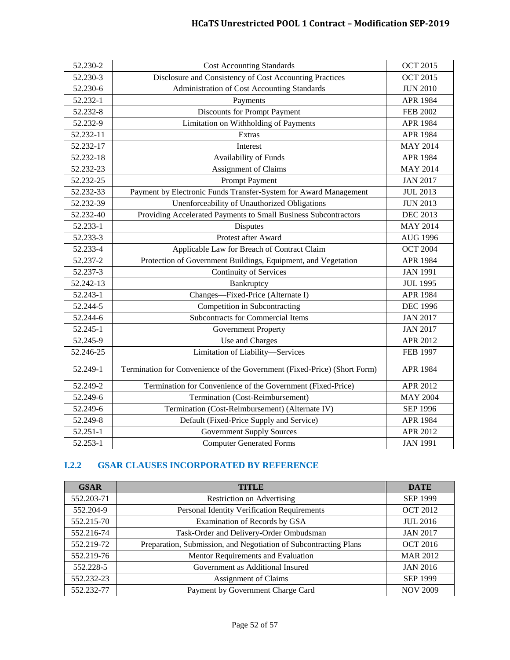| 52.230-2  | <b>Cost Accounting Standards</b>                                         | <b>OCT 2015</b> |
|-----------|--------------------------------------------------------------------------|-----------------|
| 52.230-3  | Disclosure and Consistency of Cost Accounting Practices                  | <b>OCT 2015</b> |
| 52.230-6  | Administration of Cost Accounting Standards                              | <b>JUN 2010</b> |
| 52.232-1  | Payments                                                                 | <b>APR 1984</b> |
| 52.232-8  | Discounts for Prompt Payment                                             | <b>FEB 2002</b> |
| 52.232-9  | Limitation on Withholding of Payments                                    | <b>APR 1984</b> |
| 52.232-11 | Extras                                                                   | APR 1984        |
| 52.232-17 | Interest                                                                 | <b>MAY 2014</b> |
| 52.232-18 | Availability of Funds                                                    | <b>APR 1984</b> |
| 52.232-23 | Assignment of Claims                                                     | <b>MAY 2014</b> |
| 52.232-25 | <b>Prompt Payment</b>                                                    | <b>JAN 2017</b> |
| 52.232-33 | Payment by Electronic Funds Transfer-System for Award Management         | <b>JUL 2013</b> |
| 52.232-39 | Unenforceability of Unauthorized Obligations                             | <b>JUN 2013</b> |
| 52.232-40 | Providing Accelerated Payments to Small Business Subcontractors          | <b>DEC 2013</b> |
| 52.233-1  | Disputes                                                                 | <b>MAY 2014</b> |
| 52.233-3  | Protest after Award                                                      | <b>AUG 1996</b> |
| 52.233-4  | Applicable Law for Breach of Contract Claim                              | <b>OCT 2004</b> |
| 52.237-2  | Protection of Government Buildings, Equipment, and Vegetation            | <b>APR 1984</b> |
| 52.237-3  | <b>Continuity of Services</b>                                            | <b>JAN 1991</b> |
| 52.242-13 | Bankruptcy                                                               | <b>JUL 1995</b> |
| 52.243-1  | Changes-Fixed-Price (Alternate I)                                        | <b>APR 1984</b> |
| 52.244-5  | Competition in Subcontracting                                            | <b>DEC 1996</b> |
| 52.244-6  | <b>Subcontracts for Commercial Items</b>                                 | <b>JAN 2017</b> |
| 52.245-1  | <b>Government Property</b>                                               | <b>JAN 2017</b> |
| 52.245-9  | Use and Charges                                                          | <b>APR 2012</b> |
| 52.246-25 | Limitation of Liability-Services                                         | <b>FEB 1997</b> |
| 52.249-1  | Termination for Convenience of the Government (Fixed-Price) (Short Form) | <b>APR 1984</b> |
| 52.249-2  | Termination for Convenience of the Government (Fixed-Price)              | APR 2012        |
| 52.249-6  | Termination (Cost-Reimbursement)                                         | <b>MAY 2004</b> |
| 52.249-6  | Termination (Cost-Reimbursement) (Alternate IV)                          | <b>SEP 1996</b> |
| 52.249-8  | Default (Fixed-Price Supply and Service)                                 | <b>APR 1984</b> |
| 52.251-1  | <b>Government Supply Sources</b>                                         | APR 2012        |
| 52.253-1  | <b>Computer Generated Forms</b>                                          | <b>JAN 1991</b> |

# <span id="page-51-0"></span>**I.2.2 GSAR CLAUSES INCORPORATED BY REFERENCE**

| <b>GSAR</b> | <b>TITLE</b>                                                     | <b>DATE</b>     |
|-------------|------------------------------------------------------------------|-----------------|
| 552.203-71  | <b>Restriction on Advertising</b>                                | <b>SEP 1999</b> |
| 552.204-9   | Personal Identity Verification Requirements                      | <b>OCT 2012</b> |
| 552.215-70  | Examination of Records by GSA                                    | <b>JUL 2016</b> |
| 552.216-74  | Task-Order and Delivery-Order Ombudsman                          | <b>JAN 2017</b> |
| 552.219-72  | Preparation, Submission, and Negotiation of Subcontracting Plans | <b>OCT 2016</b> |
| 552.219-76  | Mentor Requirements and Evaluation                               | <b>MAR 2012</b> |
| 552.228-5   | Government as Additional Insured                                 | <b>JAN 2016</b> |
| 552.232-23  | Assignment of Claims                                             | <b>SEP 1999</b> |
| 552.232-77  | Payment by Government Charge Card                                | <b>NOV 2009</b> |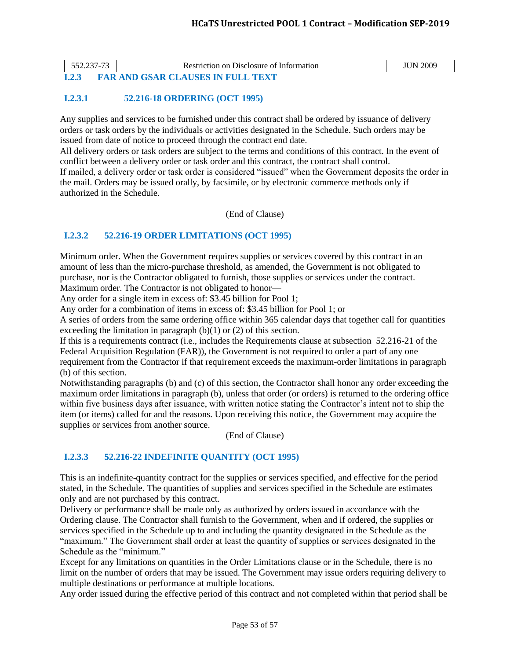<span id="page-52-0"></span>

|       | Restriction on Disclosure of Information | <b>JUN 2009</b> |
|-------|------------------------------------------|-----------------|
| I.2.3 | <b>FAR AND GSAR CLAUSES IN FULL TEXT</b> |                 |

# <span id="page-52-1"></span>**I.2.3.1 52.216-18 ORDERING (OCT 1995)**

Any supplies and services to be furnished under this contract shall be ordered by issuance of delivery orders or task orders by the individuals or activities designated in the Schedule. Such orders may be issued from date of notice to proceed through the contract end date.

All delivery orders or task orders are subject to the terms and conditions of this contract. In the event of conflict between a delivery order or task order and this contract, the contract shall control. If mailed, a delivery order or task order is considered "issued" when the Government deposits the order in the mail. Orders may be issued orally, by facsimile, or by electronic commerce methods only if authorized in the Schedule.

(End of Clause)

# <span id="page-52-2"></span>**I.2.3.2 52.216-19 ORDER LIMITATIONS (OCT 1995)**

Minimum order. When the Government requires supplies or services covered by this contract in an amount of less than the micro-purchase threshold, as amended, the Government is not obligated to purchase, nor is the Contractor obligated to furnish, those supplies or services under the contract. Maximum order. The Contractor is not obligated to honor—

Any order for a single item in excess of: \$3.45 billion for Pool 1;

Any order for a combination of items in excess of: \$3.45 billion for Pool 1; or

A series of orders from the same ordering office within 365 calendar days that together call for quantities exceeding the limitation in paragraph  $(b)(1)$  or  $(2)$  of this section.

If this is a requirements contract (i.e., includes the Requirements clause at subsection 52.216-21 of the Federal Acquisition Regulation (FAR)), the Government is not required to order a part of any one requirement from the Contractor if that requirement exceeds the maximum-order limitations in paragraph (b) of this section.

Notwithstanding paragraphs (b) and (c) of this section, the Contractor shall honor any order exceeding the maximum order limitations in paragraph (b), unless that order (or orders) is returned to the ordering office within five business days after issuance, with written notice stating the Contractor's intent not to ship the item (or items) called for and the reasons. Upon receiving this notice, the Government may acquire the supplies or services from another source.

(End of Clause)

# <span id="page-52-3"></span>**I.2.3.3 52.216-22 INDEFINITE QUANTITY (OCT 1995)**

This is an indefinite-quantity contract for the supplies or services specified, and effective for the period stated, in the Schedule. The quantities of supplies and services specified in the Schedule are estimates only and are not purchased by this contract.

Delivery or performance shall be made only as authorized by orders issued in accordance with the Ordering clause. The Contractor shall furnish to the Government, when and if ordered, the supplies or services specified in the Schedule up to and including the quantity designated in the Schedule as the "maximum." The Government shall order at least the quantity of supplies or services designated in the Schedule as the "minimum."

Except for any limitations on quantities in the Order Limitations clause or in the Schedule, there is no limit on the number of orders that may be issued. The Government may issue orders requiring delivery to multiple destinations or performance at multiple locations.

Any order issued during the effective period of this contract and not completed within that period shall be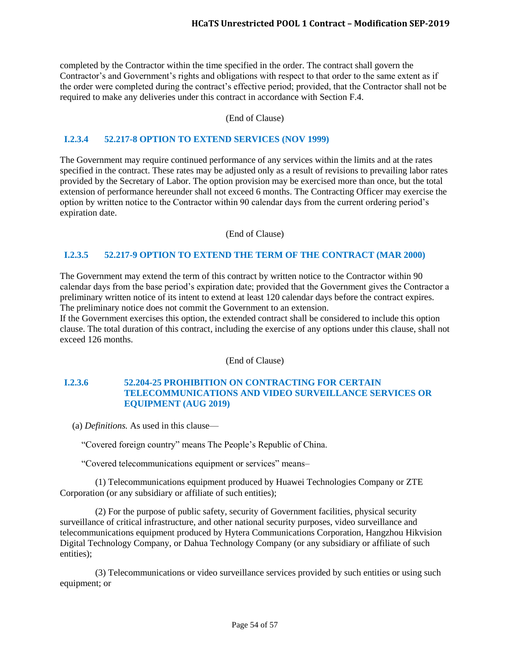completed by the Contractor within the time specified in the order. The contract shall govern the Contractor's and Government's rights and obligations with respect to that order to the same extent as if the order were completed during the contract's effective period; provided, that the Contractor shall not be required to make any deliveries under this contract in accordance with Section F.4.

#### (End of Clause)

## <span id="page-53-0"></span>**I.2.3.4 52.217-8 OPTION TO EXTEND SERVICES (NOV 1999)**

The Government may require continued performance of any services within the limits and at the rates specified in the contract. These rates may be adjusted only as a result of revisions to prevailing labor rates provided by the Secretary of Labor. The option provision may be exercised more than once, but the total extension of performance hereunder shall not exceed 6 months. The Contracting Officer may exercise the option by written notice to the Contractor within 90 calendar days from the current ordering period's expiration date.

(End of Clause)

## <span id="page-53-1"></span>**I.2.3.5 52.217-9 OPTION TO EXTEND THE TERM OF THE CONTRACT (MAR 2000)**

The Government may extend the term of this contract by written notice to the Contractor within 90 calendar days from the base period's expiration date; provided that the Government gives the Contractor a preliminary written notice of its intent to extend at least 120 calendar days before the contract expires. The preliminary notice does not commit the Government to an extension.

If the Government exercises this option, the extended contract shall be considered to include this option clause. The total duration of this contract, including the exercise of any options under this clause, shall not exceed 126 months.

(End of Clause)

## <span id="page-53-2"></span>**I.2.3.6 52.204-25 PROHIBITION ON CONTRACTING FOR CERTAIN TELECOMMUNICATIONS AND VIDEO SURVEILLANCE SERVICES OR EQUIPMENT (AUG 2019)**

(a) *Definitions.* As used in this clause—

"Covered foreign country" means The People's Republic of China.

"Covered telecommunications equipment or services" means–

(1) Telecommunications equipment produced by Huawei Technologies Company or ZTE Corporation (or any subsidiary or affiliate of such entities);

(2) For the purpose of public safety, security of Government facilities, physical security surveillance of critical infrastructure, and other national security purposes, video surveillance and telecommunications equipment produced by Hytera Communications Corporation, Hangzhou Hikvision Digital Technology Company, or Dahua Technology Company (or any subsidiary or affiliate of such entities);

(3) Telecommunications or video surveillance services provided by such entities or using such equipment; or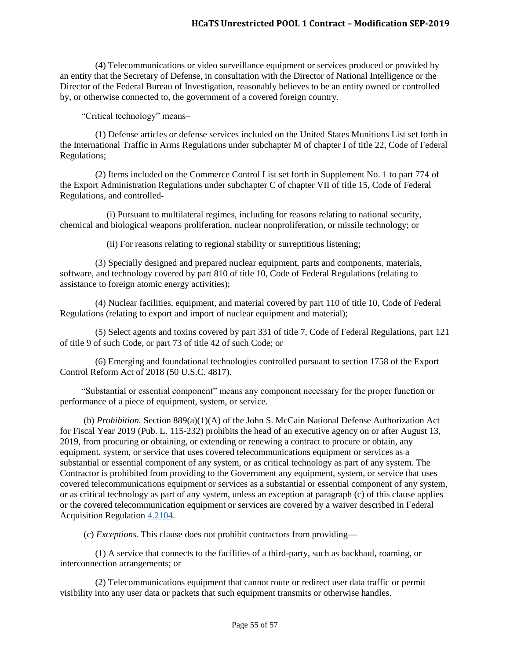(4) Telecommunications or video surveillance equipment or services produced or provided by an entity that the Secretary of Defense, in consultation with the Director of National Intelligence or the Director of the Federal Bureau of Investigation, reasonably believes to be an entity owned or controlled by, or otherwise connected to, the government of a covered foreign country.

"Critical technology" means–

(1) Defense articles or defense services included on the United States Munitions List set forth in the International Traffic in Arms Regulations under subchapter M of chapter I of title 22, Code of Federal Regulations;

(2) Items included on the Commerce Control List set forth in Supplement No. 1 to part 774 of the Export Administration Regulations under subchapter C of chapter VII of title 15, Code of Federal Regulations, and controlled-

(i) Pursuant to multilateral regimes, including for reasons relating to national security, chemical and biological weapons proliferation, nuclear nonproliferation, or missile technology; or

(ii) For reasons relating to regional stability or surreptitious listening;

(3) Specially designed and prepared nuclear equipment, parts and components, materials, software, and technology covered by part 810 of title 10, Code of Federal Regulations (relating to assistance to foreign atomic energy activities);

(4) Nuclear facilities, equipment, and material covered by part 110 of title 10, Code of Federal Regulations (relating to export and import of nuclear equipment and material);

(5) Select agents and toxins covered by part 331 of title 7, Code of Federal Regulations, part 121 of title 9 of such Code, or part 73 of title 42 of such Code; or

(6) Emerging and foundational technologies controlled pursuant to section 1758 of the Export Control Reform Act of 2018 (50 U.S.C. 4817).

"Substantial or essential component" means any component necessary for the proper function or performance of a piece of equipment, system, or service.

(b) *Prohibition.* Section 889(a)(1)(A) of the John S. McCain National Defense Authorization Act for Fiscal Year 2019 (Pub. L. 115-232) prohibits the head of an executive agency on or after August 13, 2019, from procuring or obtaining, or extending or renewing a contract to procure or obtain, any equipment, system, or service that uses covered telecommunications equipment or services as a substantial or essential component of any system, or as critical technology as part of any system. The Contractor is prohibited from providing to the Government any equipment, system, or service that uses covered telecommunications equipment or services as a substantial or essential component of any system, or as critical technology as part of any system, unless an exception at paragraph (c) of this clause applies or the covered telecommunication equipment or services are covered by a waiver described in Federal Acquisition Regulation [4.2104.](https://www.acquisition.gov/content/part-4-administrative-matters#id1989GI040ZO)

(c) *Exceptions.* This clause does not prohibit contractors from providing—

(1) A service that connects to the facilities of a third-party, such as backhaul, roaming, or interconnection arrangements; or

(2) Telecommunications equipment that cannot route or redirect user data traffic or permit visibility into any user data or packets that such equipment transmits or otherwise handles.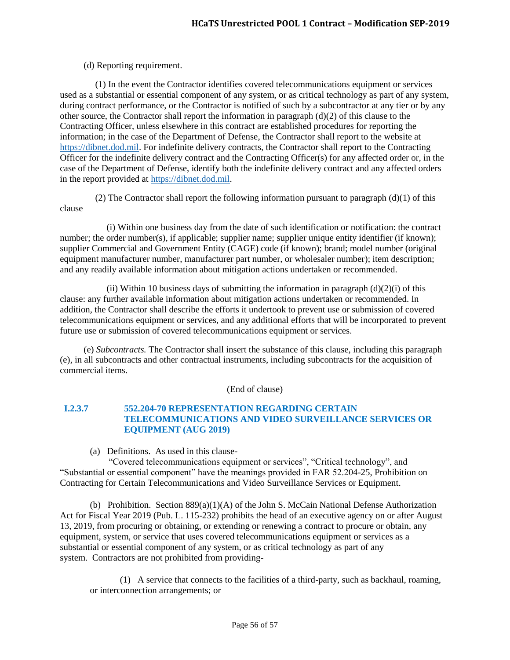#### (d) Reporting requirement.

(1) In the event the Contractor identifies covered telecommunications equipment or services used as a substantial or essential component of any system, or as critical technology as part of any system, during contract performance, or the Contractor is notified of such by a subcontractor at any tier or by any other source, the Contractor shall report the information in paragraph  $(d)(2)$  of this clause to the Contracting Officer, unless elsewhere in this contract are established procedures for reporting the information; in the case of the Department of Defense, the Contractor shall report to the website at [https://dibnet.dod.mil.](https://dibnet.dod.mil/) For indefinite delivery contracts, the Contractor shall report to the Contracting Officer for the indefinite delivery contract and the Contracting Officer(s) for any affected order or, in the case of the Department of Defense, identify both the indefinite delivery contract and any affected orders in the report provided at [https://dibnet.dod.mil.](https://dibnet.dod.mil/)

(2) The Contractor shall report the following information pursuant to paragraph  $(d)(1)$  of this clause

(i) Within one business day from the date of such identification or notification: the contract number; the order number(s), if applicable; supplier name; supplier unique entity identifier (if known); supplier Commercial and Government Entity (CAGE) code (if known); brand; model number (original equipment manufacturer number, manufacturer part number, or wholesaler number); item description; and any readily available information about mitigation actions undertaken or recommended.

(ii) Within 10 business days of submitting the information in paragraph  $(d)(2)(i)$  of this clause: any further available information about mitigation actions undertaken or recommended. In addition, the Contractor shall describe the efforts it undertook to prevent use or submission of covered telecommunications equipment or services, and any additional efforts that will be incorporated to prevent future use or submission of covered telecommunications equipment or services.

(e) *Subcontracts.* The Contractor shall insert the substance of this clause, including this paragraph (e), in all subcontracts and other contractual instruments, including subcontracts for the acquisition of commercial items.

(End of clause)

## <span id="page-55-0"></span>**I.2.3.7 552.204-70 REPRESENTATION REGARDING CERTAIN TELECOMMUNICATIONS AND VIDEO SURVEILLANCE SERVICES OR EQUIPMENT (AUG 2019)**

(a) Definitions. As used in this clause-

"Covered telecommunications equipment or services", "Critical technology", and "Substantial or essential component" have the meanings provided in FAR 52.204-25, Prohibition on Contracting for Certain Telecommunications and Video Surveillance Services or Equipment.

(b) Prohibition. Section  $889(a)(1)(A)$  of the John S. McCain National Defense Authorization Act for Fiscal Year 2019 (Pub. L. 115-232) prohibits the head of an executive agency on or after August 13, 2019, from procuring or obtaining, or extending or renewing a contract to procure or obtain, any equipment, system, or service that uses covered telecommunications equipment or services as a substantial or essential component of any system, or as critical technology as part of any system. Contractors are not prohibited from providing-

(1) A service that connects to the facilities of a third-party, such as backhaul, roaming, or interconnection arrangements; or